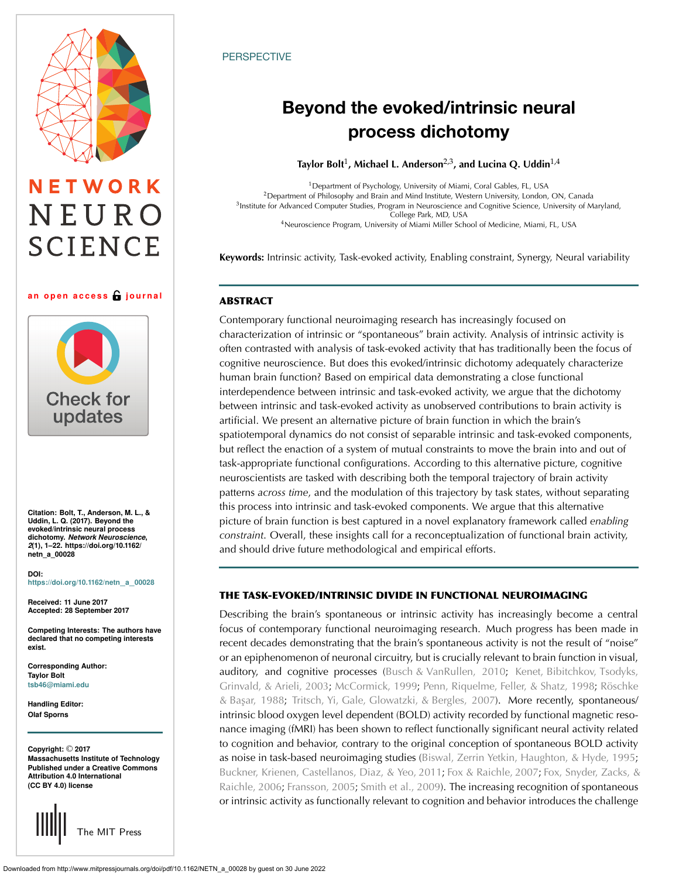

# NETWORK NEURO **SCIENCE**

#### an open access **G** journal



**Citation: Bolt, T., Anderson, M. L., & Uddin, L. Q. (2017). Beyond the evoked/intrinsic neural process dichotomy.** *Network Neuroscience***,** *2***(1), 1–22. https://doi.org/10.1162/ netn\_a\_00028**

#### **DOI: [https://doi.org/10.1162/netn](https://dx.doi.org/10.1162/netn_a_00028)**\_**a**\_**<sup>00028</sup>**

**Received: 11 June 2017 Accepted: 28 September 2017**

**Competing Interests: The authors have declared that no competing interests exist.**

**Corresponding Author: Taylor Bolt [tsb46@miami.edu](mailto:tsb46@miami.edu)**

**Handling Editor: Olaf Sporns**

**Copyright:** © **2017 Massachusetts Institute of Technology Published under a Creative Commons Attribution 4.0 International (CC BY 4.0) license**



# **PERSPECTIVE**

# Beyond the evoked/intrinsic neural process dichotomy

**Taylor Bolt**<sup>1</sup> **, Michael L. Anderson**2,3**, and Lucina Q. Uddin**1,4

<sup>1</sup>Department of Psychology, University of Miami, Coral Gables, FL, USA <sup>2</sup>Department of Philosophy and Brain and Mind Institute, Western University, London, ON, Canada <sup>3</sup> Institute for Advanced Computer Studies, Program in Neuroscience and Cognitive Science, University of Maryland,<br>College Park, MD, USA <sup>4</sup>Neuroscience Program, University of Miami Miller School of Medicine, Miami, FL, USA

**Keywords:** Intrinsic activity, Task-evoked activity, Enabling constraint, Synergy, Neural variability

# ABSTRACT

Contemporary functional neuroimaging research has increasingly focused on characterization of intrinsic or "spontaneous" brain activity. Analysis of intrinsic activity is often contrasted with analysis of task-evoked activity that has traditionally been the focus of cognitive neuroscience. But does this evoked/intrinsic dichotomy adequately characterize human brain function? Based on empirical data demonstrating a close functional interdependence between intrinsic and task-evoked activity, we argue that the dichotomy between intrinsic and task-evoked activity as unobserved contributions to brain activity is artificial. We present an alternative picture of brain function in which the brain's spatiotemporal dynamics do not consist of separable intrinsic and task-evoked components, but reflect the enaction of a system of mutual constraints to move the brain into and out of task-appropriate functional configurations. According to this alternative picture, cognitive neuroscientists are tasked with describing both the temporal trajectory of brain activity patterns *across time*, and the modulation of this trajectory by task states, without separating this process into intrinsic and task-evoked components. We argue that this alternative picture of brain function is best captured in a novel explanatory framework called *enabling constraint*. Overall, these insights call for a reconceptualization of functional brain activity, and should drive future methodological and empirical efforts.

# THE TASK-EVOKED/INTRINSIC DIVIDE IN FUNCTIONAL NEUROIMAGING

Describing the brain's spontaneous or intrinsic activity has increasingly become a central focus of contemporary functional neuroimaging research. Much progress has been made in recent decades demonstrating that the brain's spontaneous activity is not the result of "noise" or an epiphenomenon of neuronal circuitry, but is crucially relevant to brain function in visual, auditory, and cognitive processes [\(Busch & VanRullen,](#page-18-0) [2010](#page-18-1); [Kenet, Bibitchkov, Tsodyks,](#page-19-0) [Grinvald, & Arieli,](#page-19-0) [2003;](#page-19-1) [McCormick,](#page-20-0) [1999](#page-20-1); [Penn, Riquelme, Feller, & Shatz,](#page-20-2) [1998](#page-20-3); [Röschke](#page-20-4) & Başar, [1988](#page-20-5); [Tritsch, Yi, Gale, Glowatzki, & Bergles,](#page-20-6) [2007\)](#page-20-7). More recently, spontaneous/ intrinsic blood oxygen level dependent (BOLD) activity recorded by functional magnetic resonance imaging (fMRI) has been shown to reflect functionally significant neural activity related to cognition and behavior, contrary to the original conception of spontaneous BOLD activity as noise in task-based neuroimaging studies [\(Biswal, Zerrin Yetkin, Haughton, & Hyde,](#page-18-2) [1995](#page-18-3); [Buckner, Krienen, Castellanos, Diaz, & Yeo,](#page-18-4) [2011;](#page-18-5) [Fox & Raichle,](#page-18-6) [2007;](#page-19-2) [Fox, Snyder, Zacks, &](#page-19-3) [Raichle,](#page-19-3) [2006](#page-19-4); [Fransson,](#page-19-5) [2005;](#page-19-6) [Smith et al.,](#page-20-8) [2009](#page-20-9)). The increasing recognition of spontaneous or intrinsic activity as functionally relevant to cognition and behavior introduces the challenge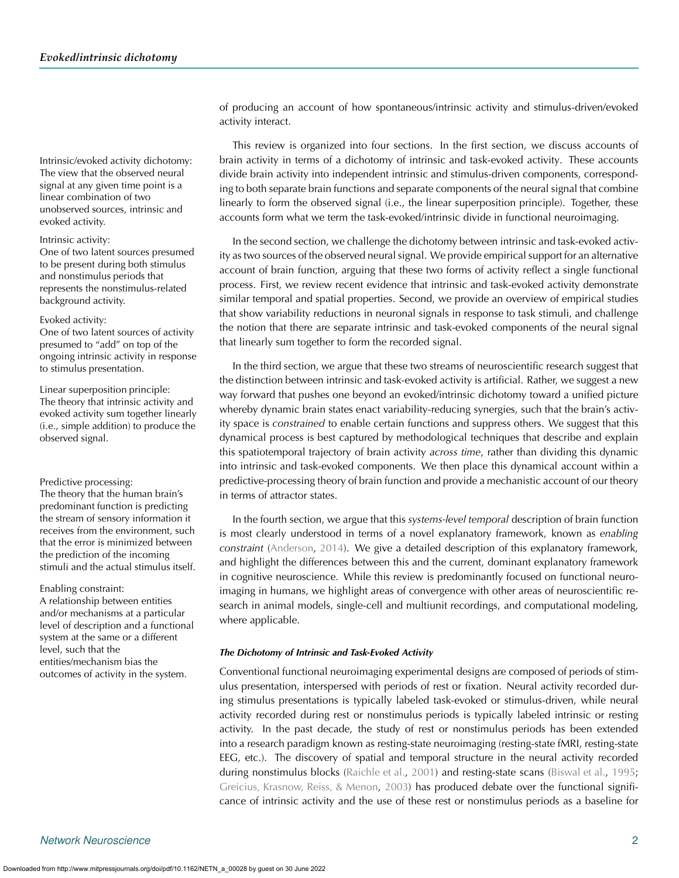The view that the observed neural signal at any given time point is a linear combination of two unobserved sources, intrinsic and evoked activity.

#### Intrinsic activity:

One of two latent sources presumed to be present during both stimulus and nonstimulus periods that represents the nonstimulus-related background activity.

### Evoked activity:

One of two latent sources of activity presumed to "add" on top of the ongoing intrinsic activity in response to stimulus presentation.

Linear superposition principle: The theory that intrinsic activity and evoked activity sum together linearly (i.e., simple addition) to produce the observed signal.

The theory that the human brain's predominant function is predicting the stream of sensory information it receives from the environment, such that the error is minimized between the prediction of the incoming stimuli and the actual stimulus itself.

Enabling constraint:

A relationship between entities and/or mechanisms at a particular level of description and a functional system at the same or a different level, such that the entities/mechanism bias the outcomes of activity in the system.

of producing an account of how spontaneous/intrinsic activity and stimulus-driven/evoked activity interact.

This review is organized into four sections. In the first section, we discuss accounts of Intrinsic/evoked activity dichotomy: brain activity in terms of a dichotomy of intrinsic and task-evoked activity. These accounts divide brain activity into independent intrinsic and stimulus-driven components, corresponding to both separate brain functions and separate components of the neural signal that combine linearly to form the observed signal (i.e., the linear superposition principle). Together, these accounts form what we term the task-evoked/intrinsic divide in functional neuroimaging.

> In the second section, we challenge the dichotomy between intrinsic and task-evoked activity as two sources of the observed neural signal. We provide empirical support for an alternative account of brain function, arguing that these two forms of activity reflect a single functional process. First, we review recent evidence that intrinsic and task-evoked activity demonstrate similar temporal and spatial properties. Second, we provide an overview of empirical studies that show variability reductions in neuronal signals in response to task stimuli, and challenge the notion that there are separate intrinsic and task-evoked components of the neural signal that linearly sum together to form the recorded signal.

In the third section, we argue that these two streams of neuroscientific research suggest that the distinction between intrinsic and task-evoked activity is artificial. Rather, we suggest a new way forward that pushes one beyond an evoked/intrinsic dichotomy toward a unified picture whereby dynamic brain states enact variability-reducing synergies, such that the brain's activity space is *constrained* to enable certain functions and suppress others. We suggest that this dynamical process is best captured by methodological techniques that describe and explain this spatiotemporal trajectory of brain activity *across time*, rather than dividing this dynamic into intrinsic and task-evoked components. We then place this dynamical account within a Predictive processing: predictive-processing theory of brain function and provide a mechanistic account of our theory in terms of attractor states.

> In the fourth section, we argue that this *systems-level temporal* description of brain function is most clearly understood in terms of a novel explanatory framework, known as *enabling constraint* [\(Anderson,](#page-17-0) [2014\)](#page-17-0). We give a detailed description of this explanatory framework, and highlight the differences between this and the current, dominant explanatory framework in cognitive neuroscience. While this review is predominantly focused on functional neuroimaging in humans, we highlight areas of convergence with other areas of neuroscientific research in animal models, single-cell and multiunit recordings, and computational modeling, where applicable.

## *The Dichotomy of Intrinsic and Task-Evoked Activity*

Conventional functional neuroimaging experimental designs are composed of periods of stimulus presentation, interspersed with periods of rest or fixation. Neural activity recorded during stimulus presentations is typically labeled task-evoked or stimulus-driven, while neural activity recorded during rest or nonstimulus periods is typically labeled intrinsic or resting activity. In the past decade, the study of rest or nonstimulus periods has been extended into a research paradigm known as resting-state neuroimaging (resting-state fMRI, resting-state EEG, etc.). The discovery of spatial and temporal structure in the neural activity recorded during nonstimulus blocks [\(Raichle et al.](#page-20-10), [2001\)](#page-20-10) and resting-state scans [\(Biswal et al.](#page-18-3), [1995](#page-18-3); [Greicius, Krasnow, Reiss, & Menon](#page-19-7), [2003\)](#page-19-7) has produced debate over the functional significance of intrinsic activity and the use of these rest or nonstimulus periods as a baseline for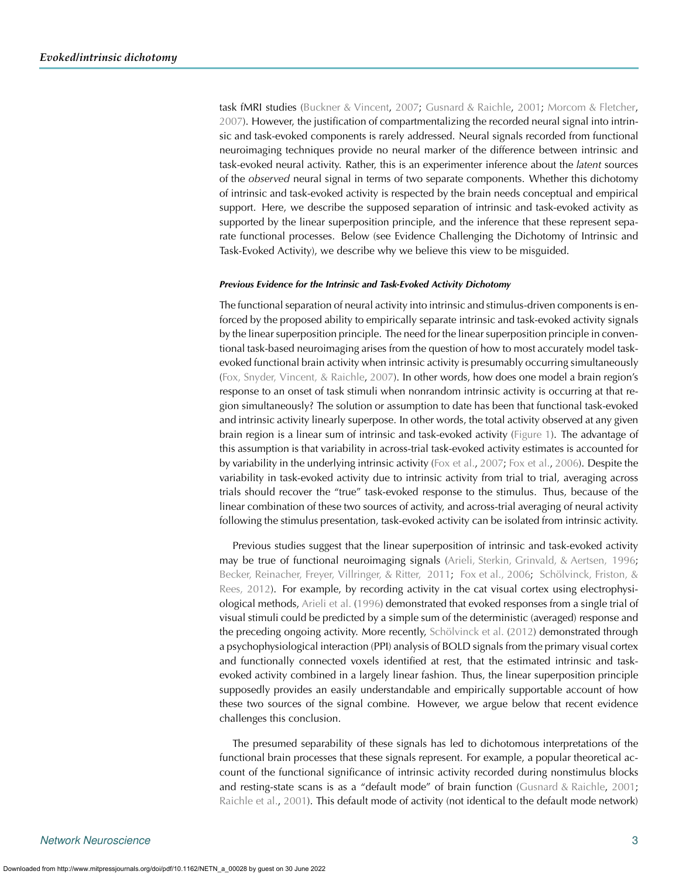task fMRI studies [\(Buckner & Vincent,](#page-18-7) [2007;](#page-18-7) [Gusnard & Raichle](#page-19-8), [2001](#page-19-8); [Morcom & Fletcher](#page-20-11), [2007\)](#page-20-11). However, the justification of compartmentalizing the recorded neural signal into intrinsic and task-evoked components is rarely addressed. Neural signals recorded from functional neuroimaging techniques provide no neural marker of the difference between intrinsic and task-evoked neural activity. Rather, this is an experimenter inference about the *latent* sources of the *observed* neural signal in terms of two separate components. Whether this dichotomy of intrinsic and task-evoked activity is respected by the brain needs conceptual and empirical support. Here, we describe the supposed separation of intrinsic and task-evoked activity as supported by the linear superposition principle, and the inference that these represent separate functional processes. Below (see Evidence Challenging the Dichotomy of Intrinsic and Task-Evoked Activity), we describe why we believe this view to be misguided.

#### *Previous Evidence for the Intrinsic and Task-Evoked Activity Dichotomy*

The functional separation of neural activity into intrinsic and stimulus-driven components is enforced by the proposed ability to empirically separate intrinsic and task-evoked activity signals by the linear superposition principle. The need for the linear superposition principle in conventional task-based neuroimaging arises from the question of how to most accurately model taskevoked functional brain activity when intrinsic activity is presumably occurring simultaneously [\(Fox, Snyder, Vincent, & Raichle,](#page-19-9) [2007\)](#page-19-9). In other words, how does one model a brain region's response to an onset of task stimuli when nonrandom intrinsic activity is occurring at that region simultaneously? The solution or assumption to date has been that functional task-evoked and intrinsic activity linearly superpose. In other words, the total activity observed at any given brain region is a linear sum of intrinsic and task-evoked activity [\(Figure 1\)](#page-3-0). The advantage of this assumption is that variability in across-trial task-evoked activity estimates is accounted for by variability in the underlying intrinsic activity [\(Fox et al.](#page-19-9), [2007](#page-19-9); [Fox et al.](#page-19-4), [2006\)](#page-19-4). Despite the variability in task-evoked activity due to intrinsic activity from trial to trial, averaging across trials should recover the "true" task-evoked response to the stimulus. Thus, because of the linear combination of these two sources of activity, and across-trial averaging of neural activity following the stimulus presentation, task-evoked activity can be isolated from intrinsic activity.

Previous studies suggest that the linear superposition of intrinsic and task-evoked activity may be true of functional neuroimaging signals [\(Arieli, Sterkin, Grinvald, & Aertsen,](#page-17-1) [1996](#page-17-2); [Becker, Reinacher, Freyer, Villringer, & Ritter,](#page-18-8) [2011;](#page-18-9) [Fox et al., 2006;](#page-19-3) [Schölvinck, Friston, &](#page-20-12) [Rees,](#page-20-12) [2012](#page-20-13)). For example, by recording activity in the cat visual cortex using electrophysiological methods, [Arieli et al.](#page-17-2) [\(1996\)](#page-17-2) demonstrated that evoked responses from a single trial of visual stimuli could be predicted by a simple sum of the deterministic (averaged) response and the preceding ongoing activity. More recently, [Schölvinck et al.](#page-20-13) [\(2012](#page-20-13)) demonstrated through a psychophysiological interaction (PPI) analysis of BOLD signals from the primary visual cortex and functionally connected voxels identified at rest, that the estimated intrinsic and taskevoked activity combined in a largely linear fashion. Thus, the linear superposition principle supposedly provides an easily understandable and empirically supportable account of how these two sources of the signal combine. However, we argue below that recent evidence challenges this conclusion.

The presumed separability of these signals has led to dichotomous interpretations of the functional brain processes that these signals represent. For example, a popular theoretical account of the functional significance of intrinsic activity recorded during nonstimulus blocks and resting-state scans is as a "default mode" of brain function [\(Gusnard & Raichle,](#page-19-8) [2001](#page-19-8); [Raichle et al.,](#page-20-10) [2001\)](#page-20-10). This default mode of activity (not identical to the default mode network)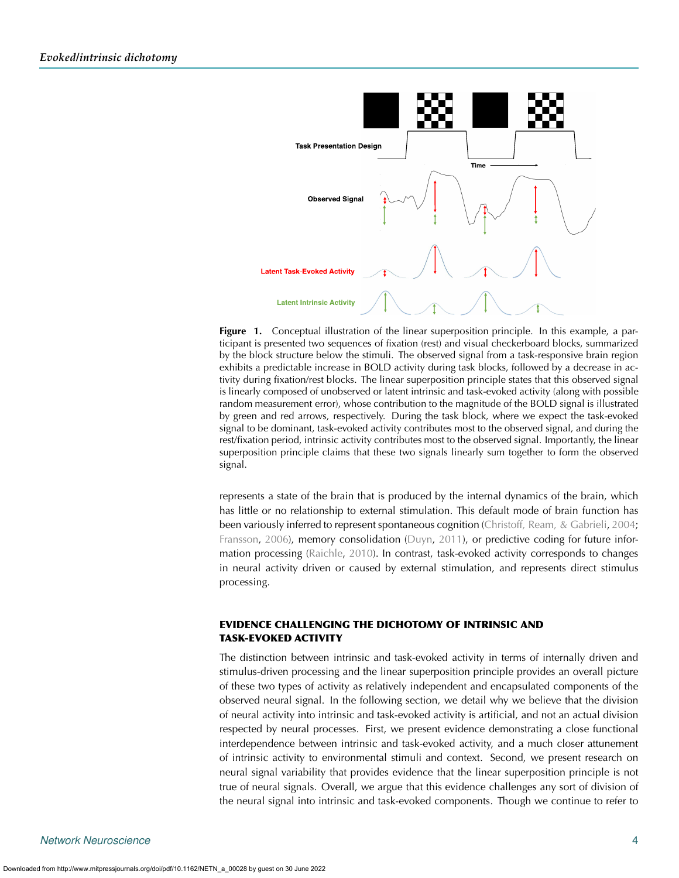

<span id="page-3-0"></span>**Figure 1.** Conceptual illustration of the linear superposition principle. In this example, a participant is presented two sequences of fixation (rest) and visual checkerboard blocks, summarized by the block structure below the stimuli. The observed signal from a task-responsive brain region exhibits a predictable increase in BOLD activity during task blocks, followed by a decrease in activity during fixation/rest blocks. The linear superposition principle states that this observed signal is linearly composed of unobserved or latent intrinsic and task-evoked activity (along with possible random measurement error), whose contribution to the magnitude of the BOLD signal is illustrated by green and red arrows, respectively. During the task block, where we expect the task-evoked signal to be dominant, task-evoked activity contributes most to the observed signal, and during the rest/fixation period, intrinsic activity contributes most to the observed signal. Importantly, the linear superposition principle claims that these two signals linearly sum together to form the observed signal.

represents a state of the brain that is produced by the internal dynamics of the brain, which has little or no relationship to external stimulation. This default mode of brain function has been variously inferred to represent spontaneous cognition [\(Christoff, Ream, & Gabrieli](#page-18-10), [2004](#page-18-10); [Fransson](#page-19-10), [2006](#page-19-10)), memory consolidation [\(Duyn](#page-18-11), [2011](#page-18-11)), or predictive coding for future information processing [\(Raichle](#page-20-14), [2010](#page-20-14)). In contrast, task-evoked activity corresponds to changes in neural activity driven or caused by external stimulation, and represents direct stimulus processing.

# EVIDENCE CHALLENGING THE DICHOTOMY OF INTRINSIC AND TASK-EVOKED ACTIVITY

The distinction between intrinsic and task-evoked activity in terms of internally driven and stimulus-driven processing and the linear superposition principle provides an overall picture of these two types of activity as relatively independent and encapsulated components of the observed neural signal. In the following section, we detail why we believe that the division of neural activity into intrinsic and task-evoked activity is artificial, and not an actual division respected by neural processes. First, we present evidence demonstrating a close functional interdependence between intrinsic and task-evoked activity, and a much closer attunement of intrinsic activity to environmental stimuli and context. Second, we present research on neural signal variability that provides evidence that the linear superposition principle is not true of neural signals. Overall, we argue that this evidence challenges any sort of division of the neural signal into intrinsic and task-evoked components. Though we continue to refer to

Downloaded from http://www.mitpressjournals.org/doi/pdf/10.1162/NETN\_a\_00028 by guest on 30 June 2022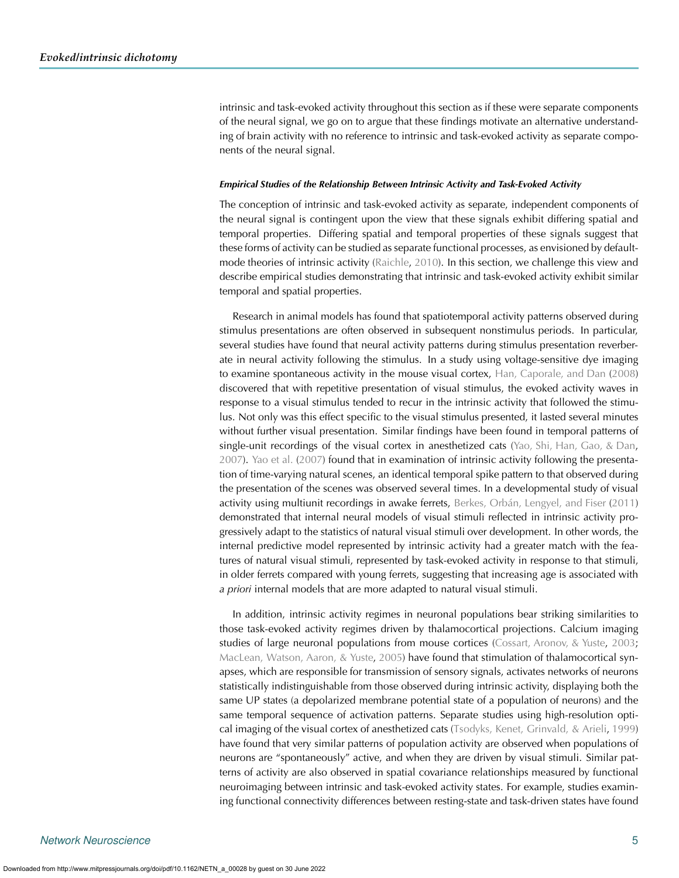intrinsic and task-evoked activity throughout this section as if these were separate components of the neural signal, we go on to argue that these findings motivate an alternative understanding of brain activity with no reference to intrinsic and task-evoked activity as separate components of the neural signal.

#### *Empirical Studies of the Relationship Between Intrinsic Activity and Task-Evoked Activity*

The conception of intrinsic and task-evoked activity as separate, independent components of the neural signal is contingent upon the view that these signals exhibit differing spatial and temporal properties. Differing spatial and temporal properties of these signals suggest that these forms of activity can be studied as separate functional processes, as envisioned by defaultmode theories of intrinsic activity [\(Raichle,](#page-20-14) [2010](#page-20-14)). In this section, we challenge this view and describe empirical studies demonstrating that intrinsic and task-evoked activity exhibit similar temporal and spatial properties.

Research in animal models has found that spatiotemporal activity patterns observed during stimulus presentations are often observed in subsequent nonstimulus periods. In particular, several studies have found that neural activity patterns during stimulus presentation reverberate in neural activity following the stimulus. In a study using voltage-sensitive dye imaging to examine spontaneous activity in the mouse visual cortex, [Han, Caporale, and Dan](#page-19-11) [\(2008](#page-19-11)) discovered that with repetitive presentation of visual stimulus, the evoked activity waves in response to a visual stimulus tended to recur in the intrinsic activity that followed the stimulus. Not only was this effect specific to the visual stimulus presented, it lasted several minutes without further visual presentation. Similar findings have been found in temporal patterns of single-unit recordings of the visual cortex in anesthetized cats [\(Yao, Shi, Han, Gao, & Dan](#page-21-0), [2007\)](#page-21-0). [Yao et al.](#page-21-0) [\(2007\)](#page-21-0) found that in examination of intrinsic activity following the presentation of time-varying natural scenes, an identical temporal spike pattern to that observed during the presentation of the scenes was observed several times. In a developmental study of visual activity using multiunit recordings in awake ferrets, [Berkes, Orbán, Lengyel, and Fiser](#page-18-12) [\(2011](#page-18-12)) demonstrated that internal neural models of visual stimuli reflected in intrinsic activity progressively adapt to the statistics of natural visual stimuli over development. In other words, the internal predictive model represented by intrinsic activity had a greater match with the features of natural visual stimuli, represented by task-evoked activity in response to that stimuli, in older ferrets compared with young ferrets, suggesting that increasing age is associated with *a priori* internal models that are more adapted to natural visual stimuli.

In addition, intrinsic activity regimes in neuronal populations bear striking similarities to those task-evoked activity regimes driven by thalamocortical projections. Calcium imaging studies of large neuronal populations from mouse cortices [\(Cossart, Aronov, & Yuste,](#page-18-13) [2003](#page-18-13); [MacLean, Watson, Aaron, & Yuste,](#page-20-15) [2005\)](#page-20-15) have found that stimulation of thalamocortical synapses, which are responsible for transmission of sensory signals, activates networks of neurons statistically indistinguishable from those observed during intrinsic activity, displaying both the same UP states (a depolarized membrane potential state of a population of neurons) and the same temporal sequence of activation patterns. Separate studies using high-resolution optical imaging of the visual cortex of anesthetized cats [\(Tsodyks, Kenet, Grinvald, & Arieli](#page-20-16), [1999](#page-20-16)) have found that very similar patterns of population activity are observed when populations of neurons are "spontaneously" active, and when they are driven by visual stimuli. Similar patterns of activity are also observed in spatial covariance relationships measured by functional neuroimaging between intrinsic and task-evoked activity states. For example, studies examining functional connectivity differences between resting-state and task-driven states have found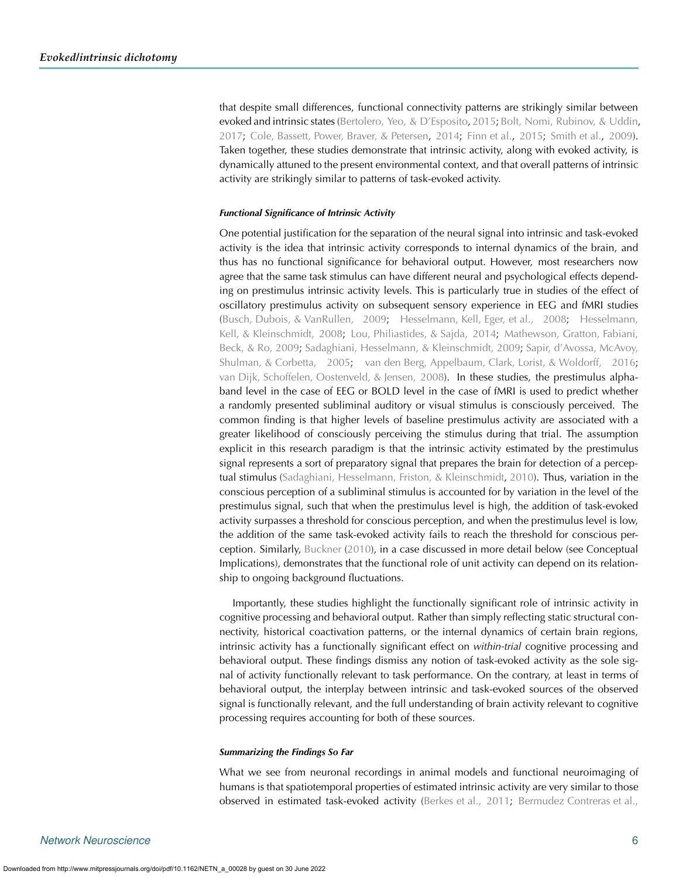that despite small differences, functional connectivity patterns are strikingly similar between evoked and intrinsic states [\(Bertolero, Yeo, & D'Esposito,](#page-18-14) [2015](#page-18-14); [Bolt, Nomi, Rubinov, & Uddin](#page-18-15), [2017;](#page-18-15) [Cole, Bassett, Power, Braver, & Petersen](#page-18-16), [2014;](#page-18-16) [Finn et al.,](#page-18-17) [2015;](#page-18-17) [Smith et al.,](#page-20-9) [2009\)](#page-20-9). Taken together, these studies demonstrate that intrinsic activity, along with evoked activity, is dynamically attuned to the present environmental context, and that overall patterns of intrinsic activity are strikingly similar to patterns of task-evoked activity.

#### *Functional Significance of Intrinsic Activity*

One potential justification for the separation of the neural signal into intrinsic and task-evoked activity is the idea that intrinsic activity corresponds to internal dynamics of the brain, and thus has no functional significance for behavioral output. However, most researchers now agree that the same task stimulus can have different neural and psychological effects depending on prestimulus intrinsic activity levels. This is particularly true in studies of the effect of oscillatory prestimulus activity on subsequent sensory experience in EEG and fMRI studies [\(Busch, Dubois, & VanRullen,](#page-18-18) [2009;](#page-18-19) [Hesselmann, Kell, Eger, et al.,](#page-19-12) [2008;](#page-19-13) [Hesselmann,](#page-19-14) [Kell, & Kleinschmidt,](#page-19-14) [2008](#page-19-15); [Lou, Philiastides, & Sajda,](#page-19-16) [2014;](#page-19-17) [Mathewson, Gratton, Fabiani,](#page-20-17) [Beck, & Ro,](#page-20-17) [2009;](#page-20-18) [Sadaghiani, Hesselmann, & Kleinschmidt,](#page-20-19) [2009](#page-20-20); [Sapir, d'Avossa, McAvoy,](#page-20-21) [Shulman, & Corbetta,](#page-20-21) [2005](#page-20-22); [van den Berg, Appelbaum, Clark, Lorist, & Woldorff,](#page-20-23) [2016](#page-21-1); [van Dijk, Schoffelen, Oostenveld, & Jensen,](#page-21-2) [2008\)](#page-21-3). In these studies, the prestimulus alphaband level in the case of EEG or BOLD level in the case of fMRI is used to predict whether a randomly presented subliminal auditory or visual stimulus is consciously perceived. The common finding is that higher levels of baseline prestimulus activity are associated with a greater likelihood of consciously perceiving the stimulus during that trial. The assumption explicit in this research paradigm is that the intrinsic activity estimated by the prestimulus signal represents a sort of preparatory signal that prepares the brain for detection of a perceptual stimulus [\(Sadaghiani, Hesselmann, Friston, & Kleinschmidt,](#page-20-24) [2010](#page-20-24)). Thus, variation in the conscious perception of a subliminal stimulus is accounted for by variation in the level of the prestimulus signal, such that when the prestimulus level is high, the addition of task-evoked activity surpasses a threshold for conscious perception, and when the prestimulus level is low, the addition of the same task-evoked activity fails to reach the threshold for conscious perception. Similarly, [Buckner](#page-18-20) [\(2010\)](#page-18-20), in a case discussed in more detail below (see Conceptual Implications), demonstrates that the functional role of unit activity can depend on its relationship to ongoing background fluctuations.

Importantly, these studies highlight the functionally significant role of intrinsic activity in cognitive processing and behavioral output. Rather than simply reflecting static structural connectivity, historical coactivation patterns, or the internal dynamics of certain brain regions, intrinsic activity has a functionally significant effect on *within-trial* cognitive processing and behavioral output. These findings dismiss any notion of task-evoked activity as the sole signal of activity functionally relevant to task performance. On the contrary, at least in terms of behavioral output, the interplay between intrinsic and task-evoked sources of the observed signal is functionally relevant, and the full understanding of brain activity relevant to cognitive processing requires accounting for both of these sources.

#### *Summarizing the Findings So Far*

What we see from neuronal recordings in animal models and functional neuroimaging of humans is that spatiotemporal properties of estimated intrinsic activity are very similar to those observed in estimated task-evoked activity [\(Berkes et al.,](#page-18-21) [2011;](#page-18-12) [Bermudez Contreras et al.,](#page-18-22)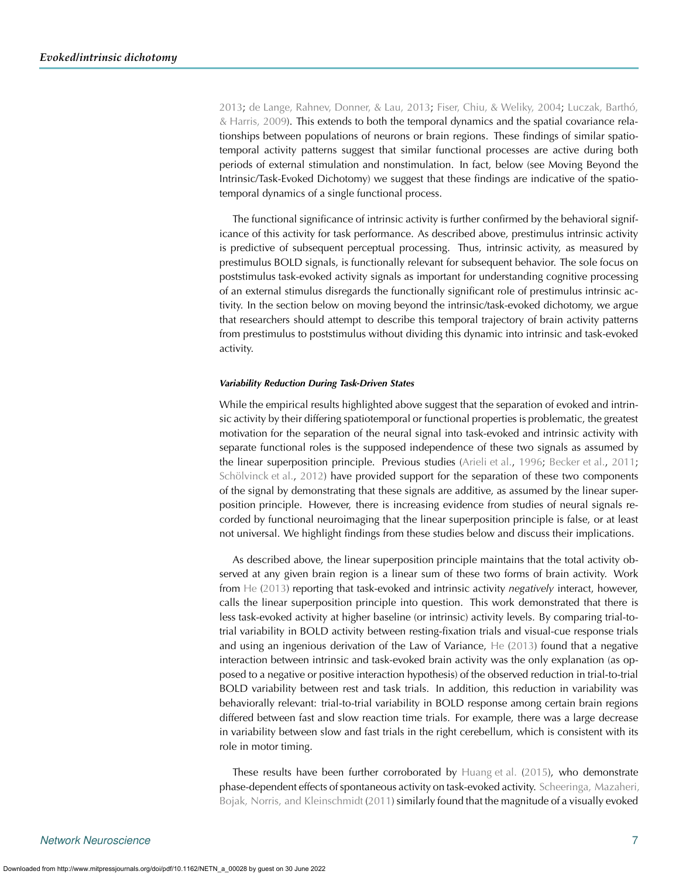[2013;](#page-18-23) [de Lange, Rahnev, Donner, & Lau,](#page-18-24) [2013](#page-18-25); [Fiser, Chiu, & Weliky,](#page-18-26) [2004](#page-18-27); [Luczak, Barthó,](#page-19-18) [& Harris,](#page-19-18) [2009\)](#page-19-19). This extends to both the temporal dynamics and the spatial covariance relationships between populations of neurons or brain regions. These findings of similar spatiotemporal activity patterns suggest that similar functional processes are active during both periods of external stimulation and nonstimulation. In fact, below (see Moving Beyond the Intrinsic/Task-Evoked Dichotomy) we suggest that these findings are indicative of the spatiotemporal dynamics of a single functional process.

The functional significance of intrinsic activity is further confirmed by the behavioral significance of this activity for task performance. As described above, prestimulus intrinsic activity is predictive of subsequent perceptual processing. Thus, intrinsic activity, as measured by prestimulus BOLD signals, is functionally relevant for subsequent behavior. The sole focus on poststimulus task-evoked activity signals as important for understanding cognitive processing of an external stimulus disregards the functionally significant role of prestimulus intrinsic activity. In the section below on moving beyond the intrinsic/task-evoked dichotomy, we argue that researchers should attempt to describe this temporal trajectory of brain activity patterns from prestimulus to poststimulus without dividing this dynamic into intrinsic and task-evoked activity.

#### *Variability Reduction During Task-Driven States*

While the empirical results highlighted above suggest that the separation of evoked and intrinsic activity by their differing spatiotemporal or functional properties is problematic, the greatest motivation for the separation of the neural signal into task-evoked and intrinsic activity with separate functional roles is the supposed independence of these two signals as assumed by the linear superposition principle. Previous studies [\(Arieli et al.,](#page-17-2) [1996](#page-17-2); [Becker et al.,](#page-18-9) [2011](#page-18-9); [Schölvinck et al.,](#page-20-13) [2012](#page-20-13)) have provided support for the separation of these two components of the signal by demonstrating that these signals are additive, as assumed by the linear superposition principle. However, there is increasing evidence from studies of neural signals recorded by functional neuroimaging that the linear superposition principle is false, or at least not universal. We highlight findings from these studies below and discuss their implications.

As described above, the linear superposition principle maintains that the total activity observed at any given brain region is a linear sum of these two forms of brain activity. Work from [He](#page-19-20) [\(2013](#page-19-20)) reporting that task-evoked and intrinsic activity *negatively* interact, however, calls the linear superposition principle into question. This work demonstrated that there is less task-evoked activity at higher baseline (or intrinsic) activity levels. By comparing trial-totrial variability in BOLD activity between resting-fixation trials and visual-cue response trials and using an ingenious derivation of the Law of Variance, [He](#page-19-20) [\(2013\)](#page-19-20) found that a negative interaction between intrinsic and task-evoked brain activity was the only explanation (as opposed to a negative or positive interaction hypothesis) of the observed reduction in trial-to-trial BOLD variability between rest and task trials. In addition, this reduction in variability was behaviorally relevant: trial-to-trial variability in BOLD response among certain brain regions differed between fast and slow reaction time trials. For example, there was a large decrease in variability between slow and fast trials in the right cerebellum, which is consistent with its role in motor timing.

These results have been further corroborated by [Huang et al.](#page-19-21) [\(2015](#page-19-21)), who demonstrate phase-dependent effects of spontaneous activity on task-evoked activity. [Scheeringa, Mazaheri,](#page-20-25) [Bojak, Norris, and Kleinschmidt](#page-20-25) [\(2011](#page-20-26)) similarly found that the magnitude of a visually evoked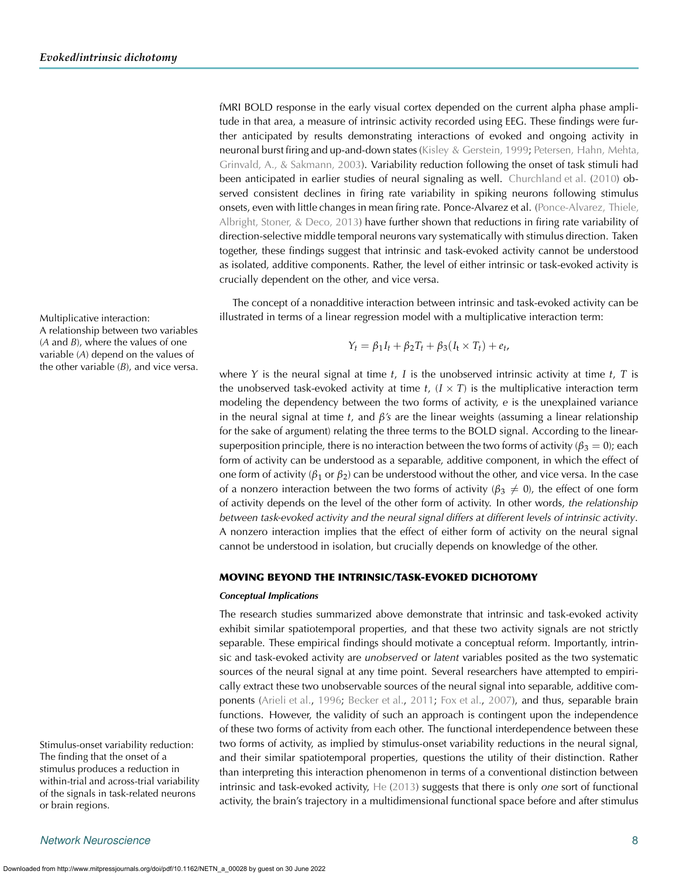fMRI BOLD response in the early visual cortex depended on the current alpha phase amplitude in that area, a measure of intrinsic activity recorded using EEG. These findings were further anticipated by results demonstrating interactions of evoked and ongoing activity in neuronal burst firing and up-and-down states [\(Kisley & Gerstein,](#page-19-22) [1999;](#page-19-23) [Petersen, Hahn, Mehta,](#page-20-27) [Grinvald, A., & Sakmann,](#page-20-27) [2003\)](#page-20-28). Variability reduction following the onset of task stimuli had been anticipated in earlier studies of neural signaling as well. [Churchland et al.](#page-18-28) [\(2010](#page-18-28)) observed consistent declines in firing rate variability in spiking neurons following stimulus onsets, even with little changes in mean firing rate. Ponce-Alvarez et al. [\(Ponce-Alvarez, Thiele,](#page-20-29) Albright, Stoner,  $\&$  Deco, [2013\)](#page-20-30) have further shown that reductions in firing rate variability of direction-selective middle temporal neurons vary systematically with stimulus direction. Taken together, these findings suggest that intrinsic and task-evoked activity cannot be understood as isolated, additive components. Rather, the level of either intrinsic or task-evoked activity is crucially dependent on the other, and vice versa.

The concept of a nonadditive interaction between intrinsic and task-evoked activity can be Multiplicative interaction: illustrated in terms of a linear regression model with a multiplicative interaction term:

$$
Y_t = \beta_1 I_t + \beta_2 T_t + \beta_3 (I_t \times T_t) + e_t,
$$

where *Y* is the neural signal at time *t*, *I* is the unobserved intrinsic activity at time *t*, *T* is the unobserved task-evoked activity at time  $t$ ,  $(I \times T)$  is the multiplicative interaction term modeling the dependency between the two forms of activity, *e* is the unexplained variance in the neural signal at time *t*, and *β's* are the linear weights (assuming a linear relationship for the sake of argument) relating the three terms to the BOLD signal. According to the linearsuperposition principle, there is no interaction between the two forms of activity ( $\beta_3 = 0$ ); each form of activity can be understood as a separable, additive component, in which the effect of one form of activity ( $\beta_1$  or  $\beta_2$ ) can be understood without the other, and vice versa. In the case of a nonzero interaction between the two forms of activity ( $\beta_3 \neq 0$ ), the effect of one form of activity depends on the level of the other form of activity. In other words, *the relationship between task-evoked activity and the neural signal differs at different levels of intrinsic activity*. A nonzero interaction implies that the effect of either form of activity on the neural signal cannot be understood in isolation, but crucially depends on knowledge of the other.

#### MOVING BEYOND THE INTRINSIC/TASK-EVOKED DICHOTOMY

#### *Conceptual Implications*

The research studies summarized above demonstrate that intrinsic and task-evoked activity exhibit similar spatiotemporal properties, and that these two activity signals are not strictly separable. These empirical findings should motivate a conceptual reform. Importantly, intrinsic and task-evoked activity are *unobserved* or *latent* variables posited as the two systematic sources of the neural signal at any time point. Several researchers have attempted to empirically extract these two unobservable sources of the neural signal into separable, additive com-ponents [\(Arieli et al.,](#page-17-2) [1996;](#page-17-2) [Becker et al.](#page-18-9), [2011;](#page-18-9) [Fox et al.,](#page-19-9) [2007\)](#page-19-9), and thus, separable brain functions. However, the validity of such an approach is contingent upon the independence of these two forms of activity from each other. The functional interdependence between these Stimulus-onset variability reduction: two forms of activity, as implied by stimulus-onset variability reductions in the neural signal, and their similar spatiotemporal properties, questions the utility of their distinction. Rather than interpreting this interaction phenomenon in terms of a conventional distinction between intrinsic and task-evoked activity, [He](#page-19-20) [\(2013](#page-19-20)) suggests that there is only *one* sort of functional activity, the brain's trajectory in a multidimensional functional space before and after stimulus

A relationship between two variables (*A* and *B*), where the values of one variable (*A*) depend on the values of the other variable (*B*), and vice versa.

The finding that the onset of a stimulus produces a reduction in within-trial and across-trial variability of the signals in task-related neurons or brain regions.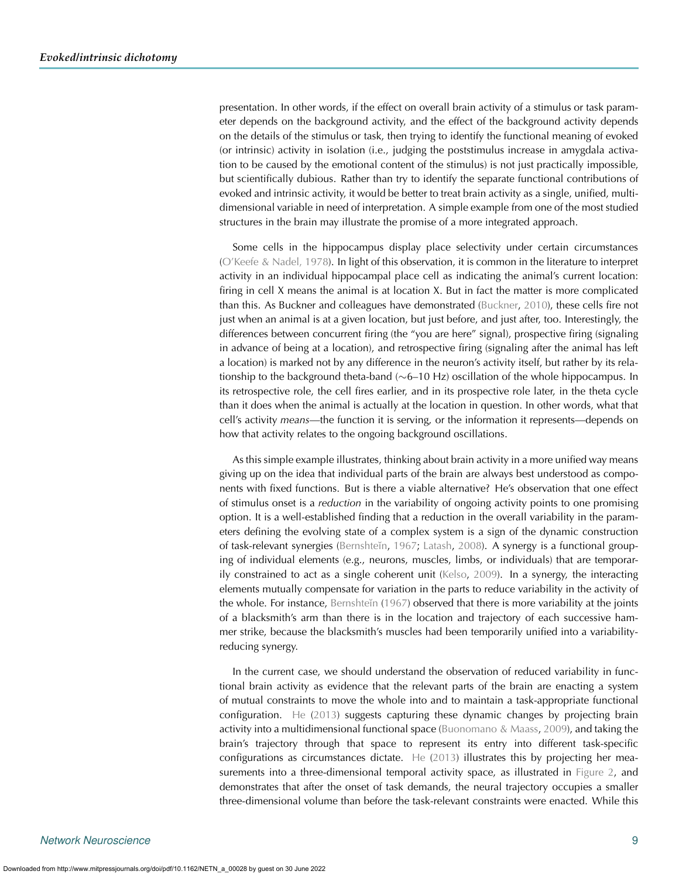presentation. In other words, if the effect on overall brain activity of a stimulus or task parameter depends on the background activity, and the effect of the background activity depends on the details of the stimulus or task, then trying to identify the functional meaning of evoked (or intrinsic) activity in isolation (i.e., judging the poststimulus increase in amygdala activation to be caused by the emotional content of the stimulus) is not just practically impossible, but scientifically dubious. Rather than try to identify the separate functional contributions of evoked and intrinsic activity, it would be better to treat brain activity as a single, unified, multidimensional variable in need of interpretation. A simple example from one of the most studied structures in the brain may illustrate the promise of a more integrated approach.

Some cells in the hippocampus display place selectivity under certain circumstances [\(O'Keefe & Nadel,](#page-20-31) [1978](#page-20-32)). In light of this observation, it is common in the literature to interpret activity in an individual hippocampal place cell as indicating the animal's current location: firing in cell X means the animal is at location X. But in fact the matter is more complicated than this. As Buckner and colleagues have demonstrated [\(Buckner](#page-18-20), [2010\)](#page-18-20), these cells fire not just when an animal is at a given location, but just before, and just after, too. Interestingly, the differences between concurrent firing (the "you are here" signal), prospective firing (signaling in advance of being at a location), and retrospective firing (signaling after the animal has left a location) is marked not by any difference in the neuron's activity itself, but rather by its relationship to the background theta-band ( $\sim$ 6–10 Hz) oscillation of the whole hippocampus. In its retrospective role, the cell fires earlier, and in its prospective role later, in the theta cycle than it does when the animal is actually at the location in question. In other words, what that cell's activity *means*—the function it is serving, or the information it represents—depends on how that activity relates to the ongoing background oscillations.

As this simple example illustrates, thinking about brain activity in a more unified way means giving up on the idea that individual parts of the brain are always best understood as components with fixed functions. But is there a viable alternative? He's observation that one effect of stimulus onset is a *reduction* in the variability of ongoing activity points to one promising option. It is a well-established finding that a reduction in the overall variability in the parameters defining the evolving state of a complex system is a sign of the dynamic construction of task-relevant synergies (Bernshteĭn, [1967](#page-18-29); [Latash,](#page-19-24) [2008\)](#page-19-24). A synergy is a functional grouping of individual elements (e.g., neurons, muscles, limbs, or individuals) that are temporarily constrained to act as a single coherent unit [\(Kelso,](#page-19-25) [2009](#page-19-25)). In a synergy, the interacting elements mutually compensate for variation in the parts to reduce variability in the activity of the whole. For instance, Bernshteĭn [\(1967\)](#page-18-29) observed that there is more variability at the joints of a blacksmith's arm than there is in the location and trajectory of each successive hammer strike, because the blacksmith's muscles had been temporarily unified into a variabilityreducing synergy.

In the current case, we should understand the observation of reduced variability in functional brain activity as evidence that the relevant parts of the brain are enacting a system of mutual constraints to move the whole into and to maintain a task-appropriate functional configuration. [He](#page-19-20) [\(2013\)](#page-19-20) suggests capturing these dynamic changes by projecting brain activity into a multidimensional functional space [\(Buonomano & Maass,](#page-18-30) [2009\)](#page-18-30), and taking the brain's trajectory through that space to represent its entry into different task-specific configurations as circumstances dictate. [He](#page-19-20) [\(2013\)](#page-19-20) illustrates this by projecting her measurements into a three-dimensional temporal activity space, as illustrated in [Figure 2,](#page-9-0) and demonstrates that after the onset of task demands, the neural trajectory occupies a smaller three-dimensional volume than before the task-relevant constraints were enacted. While this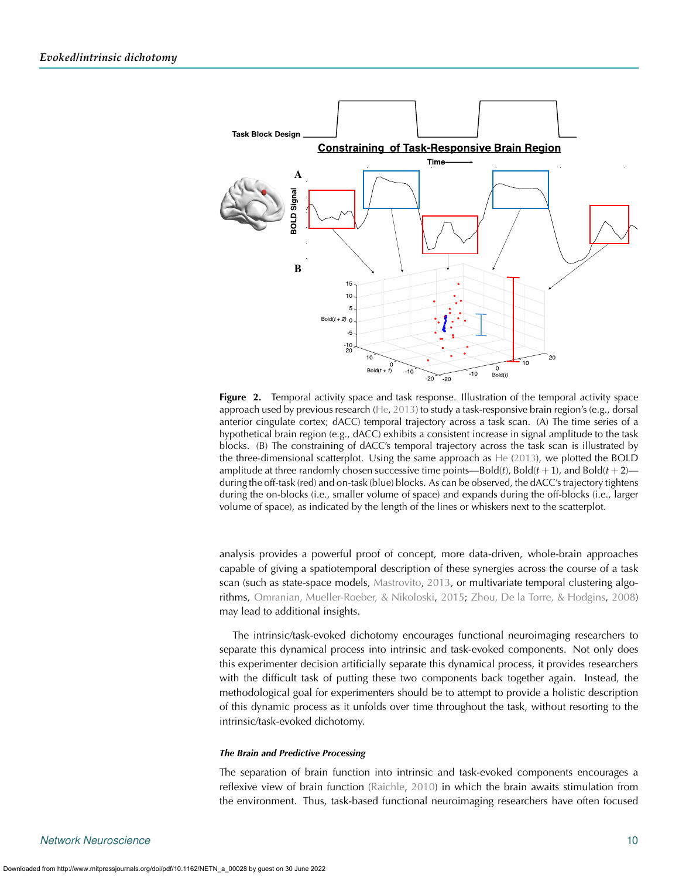

<span id="page-9-0"></span>**Figure 2.** Temporal activity space and task response. Illustration of the temporal activity space approach used by previous research [\(He](#page-19-20), [2013\)](#page-19-20) to study a task-responsive brain region's (e.g., dorsal anterior cingulate cortex; dACC) temporal trajectory across a task scan. (A) The time series of a hypothetical brain region (e.g., dACC) exhibits a consistent increase in signal amplitude to the task blocks. (B) The constraining of dACC's temporal trajectory across the task scan is illustrated by the three-dimensional scatterplot. Using the same approach as [He](#page-19-20) [\(2013\)](#page-19-20), we plotted the BOLD amplitude at three randomly chosen successive time points—Bold(*t*), Bold( $t$  + 1), and Bold( $t$  + 2) during the off-task (red) and on-task (blue) blocks. As can be observed, the dACC's trajectory tightens during the on-blocks (i.e., smaller volume of space) and expands during the off-blocks (i.e., larger volume of space), as indicated by the length of the lines or whiskers next to the scatterplot.

analysis provides a powerful proof of concept, more data-driven, whole-brain approaches capable of giving a spatiotemporal description of these synergies across the course of a task scan (such as state-space models, [Mastrovito](#page-20-33), [2013,](#page-20-33) or multivariate temporal clustering algorithms, [Omranian, Mueller-Roeber, & Nikoloski](#page-20-34), [2015](#page-20-34); [Zhou, De la Torre, & Hodgins](#page-21-4), [2008](#page-21-4)) may lead to additional insights.

The intrinsic/task-evoked dichotomy encourages functional neuroimaging researchers to separate this dynamical process into intrinsic and task-evoked components. Not only does this experimenter decision artificially separate this dynamical process, it provides researchers with the difficult task of putting these two components back together again. Instead, the methodological goal for experimenters should be to attempt to provide a holistic description of this dynamic process as it unfolds over time throughout the task, without resorting to the intrinsic/task-evoked dichotomy.

#### *The Brain and Predictive Processing*

The separation of brain function into intrinsic and task-evoked components encourages a reflexive view of brain function [\(Raichle](#page-20-14), [2010](#page-20-14)) in which the brain awaits stimulation from the environment. Thus, task-based functional neuroimaging researchers have often focused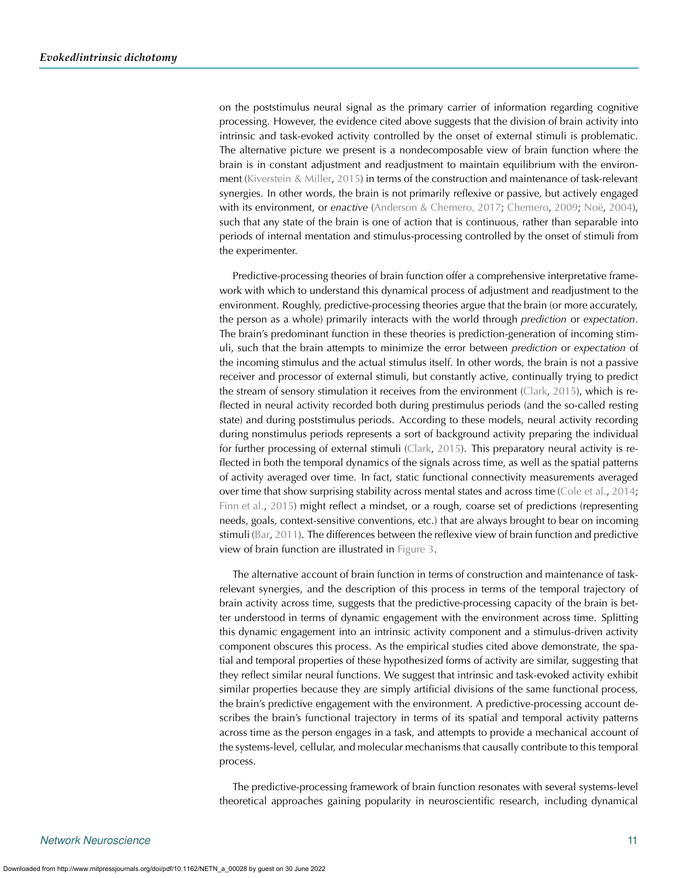on the poststimulus neural signal as the primary carrier of information regarding cognitive processing. However, the evidence cited above suggests that the division of brain activity into intrinsic and task-evoked activity controlled by the onset of external stimuli is problematic. The alternative picture we present is a nondecomposable view of brain function where the brain is in constant adjustment and readjustment to maintain equilibrium with the environment [\(Kiverstein & Miller](#page-19-26), [2015](#page-19-26)) in terms of the construction and maintenance of task-relevant synergies. In other words, the brain is not primarily reflexive or passive, but actively engaged with its environment, or *enactive* [\(Anderson & Chemero, 2017;](#page-17-3) [Chemero,](#page-18-31) [2009](#page-18-31); [Noë](#page-20-35), [2004\)](#page-20-35), such that any state of the brain is one of action that is continuous, rather than separable into periods of internal mentation and stimulus-processing controlled by the onset of stimuli from the experimenter.

Predictive-processing theories of brain function offer a comprehensive interpretative framework with which to understand this dynamical process of adjustment and readjustment to the environment. Roughly, predictive-processing theories argue that the brain (or more accurately, the person as a whole) primarily interacts with the world through *prediction* or *expectation*. The brain's predominant function in these theories is prediction-generation of incoming stimuli, such that the brain attempts to minimize the error between *prediction* or *expectation* of the incoming stimulus and the actual stimulus itself. In other words, the brain is not a passive receiver and processor of external stimuli, but constantly active, continually trying to predict the stream of sensory stimulation it receives from the environment [\(Clark,](#page-18-32) [2015](#page-18-32)), which is reflected in neural activity recorded both during prestimulus periods (and the so-called resting state) and during poststimulus periods. According to these models, neural activity recording during nonstimulus periods represents a sort of background activity preparing the individual for further processing of external stimuli [\(Clark](#page-18-32), [2015\)](#page-18-32). This preparatory neural activity is reflected in both the temporal dynamics of the signals across time, as well as the spatial patterns of activity averaged over time. In fact, static functional connectivity measurements averaged over time that show surprising stability across mental states and across time [\(Cole et al.](#page-18-16), [2014](#page-18-16); [Finn et al.](#page-18-17), [2015\)](#page-18-17) might reflect a mindset, or a rough, coarse set of predictions (representing needs, goals, context-sensitive conventions, etc.) that are always brought to bear on incoming stimuli [\(Bar](#page-17-4), [2011](#page-17-4)). The differences between the reflexive view of brain function and predictive view of brain function are illustrated in [Figure 3.](#page-11-0)

The alternative account of brain function in terms of construction and maintenance of taskrelevant synergies, and the description of this process in terms of the temporal trajectory of brain activity across time, suggests that the predictive-processing capacity of the brain is better understood in terms of dynamic engagement with the environment across time. Splitting this dynamic engagement into an intrinsic activity component and a stimulus-driven activity component obscures this process. As the empirical studies cited above demonstrate, the spatial and temporal properties of these hypothesized forms of activity are similar, suggesting that they reflect similar neural functions. We suggest that intrinsic and task-evoked activity exhibit similar properties because they are simply artificial divisions of the same functional process, the brain's predictive engagement with the environment. A predictive-processing account describes the brain's functional trajectory in terms of its spatial and temporal activity patterns across time as the person engages in a task, and attempts to provide a mechanical account of the systems-level, cellular, and molecular mechanisms that causally contribute to this temporal process.

The predictive-processing framework of brain function resonates with several systems-level theoretical approaches gaining popularity in neuroscientific research, including dynamical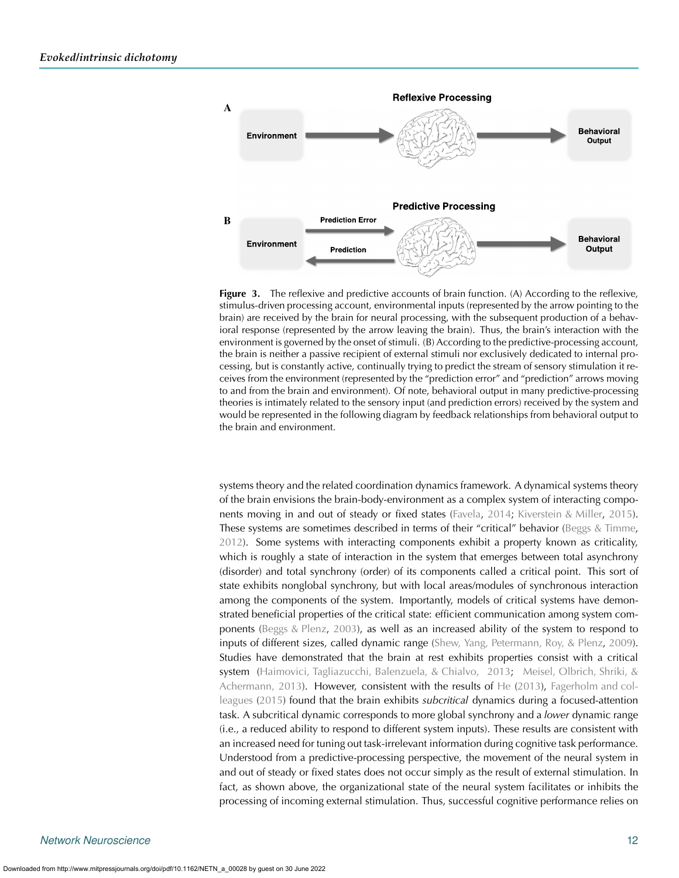

<span id="page-11-0"></span>**Figure 3.** The reflexive and predictive accounts of brain function. (A) According to the reflexive, stimulus-driven processing account, environmental inputs (represented by the arrow pointing to the brain) are received by the brain for neural processing, with the subsequent production of a behavioral response (represented by the arrow leaving the brain). Thus, the brain's interaction with the environment is governed by the onset of stimuli. (B) According to the predictive-processing account, the brain is neither a passive recipient of external stimuli nor exclusively dedicated to internal processing, but is constantly active, continually trying to predict the stream of sensory stimulation it receives from the environment (represented by the "prediction error" and "prediction" arrows moving to and from the brain and environment). Of note, behavioral output in many predictive-processing theories is intimately related to the sensory input (and prediction errors) received by the system and would be represented in the following diagram by feedback relationships from behavioral output to the brain and environment.

systems theory and the related coordination dynamics framework. A dynamical systems theory of the brain envisions the brain-body-environment as a complex system of interacting components moving in and out of steady or fixed states [\(Favela,](#page-18-33) [2014](#page-18-33); [Kiverstein & Miller](#page-19-26), [2015\)](#page-19-26). These systems are sometimes described in terms of their "critical" behavior [\(Beggs & Timme](#page-18-34), [2012\)](#page-18-34). Some systems with interacting components exhibit a property known as criticality, which is roughly a state of interaction in the system that emerges between total asynchrony (disorder) and total synchrony (order) of its components called a critical point. This sort of state exhibits nonglobal synchrony, but with local areas/modules of synchronous interaction among the components of the system. Importantly, models of critical systems have demonstrated beneficial properties of the critical state: efficient communication among system components [\(Beggs & Plenz](#page-18-35), [2003\)](#page-18-35), as well as an increased ability of the system to respond to inputs of different sizes, called dynamic range [\(Shew, Yang, Petermann, Roy, & Plenz,](#page-20-36) [2009\)](#page-20-36). Studies have demonstrated that the brain at rest exhibits properties consist with a critical system [\(Haimovici, Tagliazucchi, Balenzuela, & Chialvo,](#page-19-27) [2013;](#page-19-28) [Meisel, Olbrich, Shriki, &](#page-20-37) [Achermann,](#page-20-37) [2013\)](#page-20-38). However, consistent with the results of [He](#page-19-20) [\(2013\)](#page-19-20), [Fagerholm and col](#page-18-36)[leagues](#page-18-36) [\(2015](#page-18-37)) found that the brain exhibits *subcritical* dynamics during a focused-attention task. A subcritical dynamic corresponds to more global synchrony and a *lower* dynamic range (i.e., a reduced ability to respond to different system inputs). These results are consistent with an increased need for tuning out task-irrelevant information during cognitive task performance. Understood from a predictive-processing perspective, the movement of the neural system in and out of steady or fixed states does not occur simply as the result of external stimulation. In fact, as shown above, the organizational state of the neural system facilitates or inhibits the processing of incoming external stimulation. Thus, successful cognitive performance relies on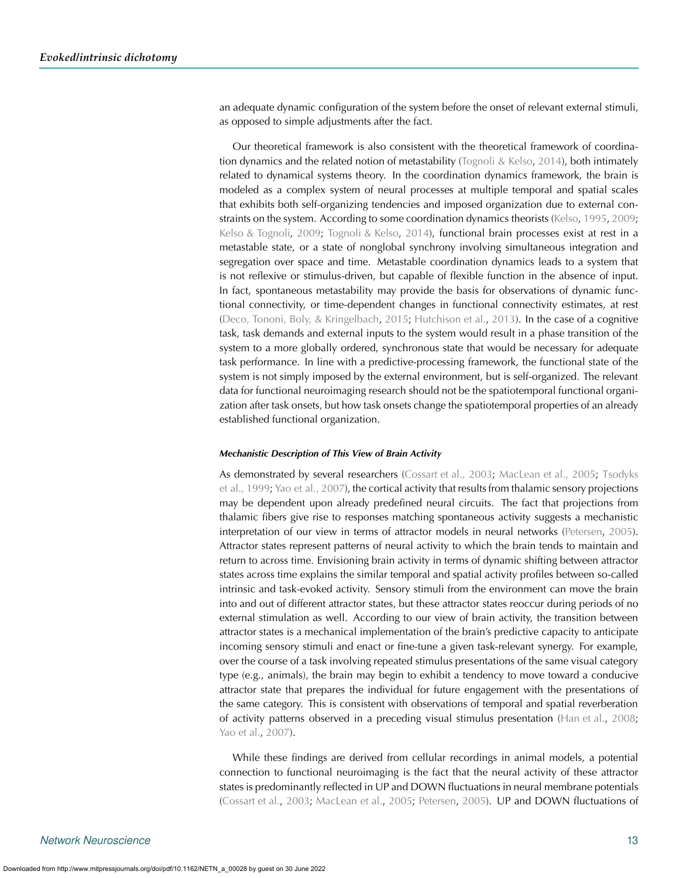an adequate dynamic configuration of the system before the onset of relevant external stimuli, as opposed to simple adjustments after the fact.

Our theoretical framework is also consistent with the theoretical framework of coordination dynamics and the related notion of metastability [\(Tognoli & Kelso](#page-20-39), [2014\)](#page-20-39), both intimately related to dynamical systems theory. In the coordination dynamics framework, the brain is modeled as a complex system of neural processes at multiple temporal and spatial scales that exhibits both self-organizing tendencies and imposed organization due to external constraints on the system. According to some coordination dynamics theorists [\(Kelso,](#page-19-29) [1995](#page-19-29), [2009](#page-19-25); [Kelso & Tognoli,](#page-19-30) [2009](#page-19-30); [Tognoli & Kelso,](#page-20-39) [2014](#page-20-39)), functional brain processes exist at rest in a metastable state, or a state of nonglobal synchrony involving simultaneous integration and segregation over space and time. Metastable coordination dynamics leads to a system that is not reflexive or stimulus-driven, but capable of flexible function in the absence of input. In fact, spontaneous metastability may provide the basis for observations of dynamic functional connectivity, or time-dependent changes in functional connectivity estimates, at rest [\(Deco, Tononi, Boly, & Kringelbach](#page-18-38), [2015;](#page-18-38) [Hutchison et al.](#page-19-31), [2013\)](#page-19-31). In the case of a cognitive task, task demands and external inputs to the system would result in a phase transition of the system to a more globally ordered, synchronous state that would be necessary for adequate task performance. In line with a predictive-processing framework, the functional state of the system is not simply imposed by the external environment, but is self-organized. The relevant data for functional neuroimaging research should not be the spatiotemporal functional organization after task onsets, but how task onsets change the spatiotemporal properties of an already established functional organization.

#### *Mechanistic Description of This View of Brain Activity*

As demonstrated by several researchers [\(Cossart et al.,](#page-18-39) [2003](#page-18-13); [MacLean et al.,](#page-19-32) [2005](#page-20-15); Tsodyks et al., [1999](#page-20-16); [Yao et al.,](#page-21-5) [2007\)](#page-21-0), the cortical activity that results from thalamic sensory projections may be dependent upon already predefined neural circuits. The fact that projections from thalamic fibers give rise to responses matching spontaneous activity suggests a mechanistic interpretation of our view in terms of attractor models in neural networks [\(Petersen](#page-20-40), [2005\)](#page-20-40). Attractor states represent patterns of neural activity to which the brain tends to maintain and return to across time. Envisioning brain activity in terms of dynamic shifting between attractor states across time explains the similar temporal and spatial activity profiles between so-called intrinsic and task-evoked activity. Sensory stimuli from the environment can move the brain into and out of different attractor states, but these attractor states reoccur during periods of no external stimulation as well. According to our view of brain activity, the transition between attractor states is a mechanical implementation of the brain's predictive capacity to anticipate incoming sensory stimuli and enact or fine-tune a given task-relevant synergy. For example, over the course of a task involving repeated stimulus presentations of the same visual category type (e.g., animals), the brain may begin to exhibit a tendency to move toward a conducive attractor state that prepares the individual for future engagement with the presentations of the same category. This is consistent with observations of temporal and spatial reverberation of activity patterns observed in a preceding visual stimulus presentation [\(Han et al.,](#page-19-11) [2008](#page-19-11); [Yao et al.,](#page-21-0) [2007](#page-21-0)).

While these findings are derived from cellular recordings in animal models, a potential connection to functional neuroimaging is the fact that the neural activity of these attractor states is predominantly reflected in UP and DOWN fluctuations in neural membrane potentials [\(Cossart et al.](#page-18-13), [2003](#page-18-13); [MacLean et al.](#page-20-15), [2005;](#page-20-15) [Petersen](#page-20-40), [2005](#page-20-40)). UP and DOWN fluctuations of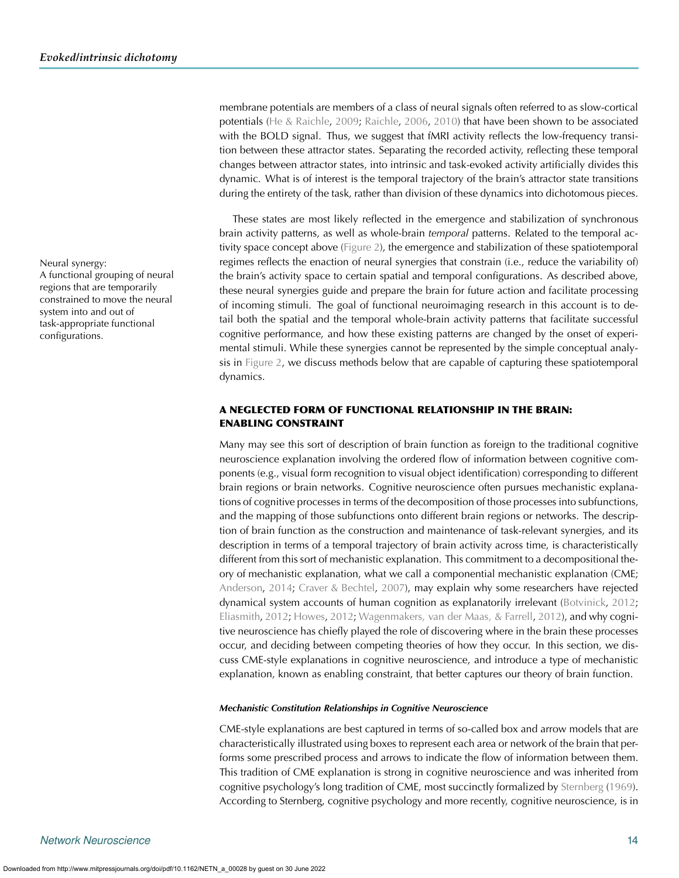membrane potentials are members of a class of neural signals often referred to as slow-cortical potentials [\(He & Raichle](#page-19-33), [2009;](#page-19-33) [Raichle](#page-20-41), [2006](#page-20-41), [2010\)](#page-20-14) that have been shown to be associated with the BOLD signal. Thus, we suggest that fMRI activity reflects the low-frequency transition between these attractor states. Separating the recorded activity, reflecting these temporal changes between attractor states, into intrinsic and task-evoked activity artificially divides this dynamic. What is of interest is the temporal trajectory of the brain's attractor state transitions during the entirety of the task, rather than division of these dynamics into dichotomous pieces.

These states are most likely reflected in the emergence and stabilization of synchronous brain activity patterns, as well as whole-brain *temporal* patterns. Related to the temporal activity space concept above [\(Figure 2\)](#page-9-0), the emergence and stabilization of these spatiotemporal Neural synergy: regimes reflects the enaction of neural synergies that constrain (i.e., reduce the variability of) the brain's activity space to certain spatial and temporal configurations. As described above, these neural synergies guide and prepare the brain for future action and facilitate processing of incoming stimuli. The goal of functional neuroimaging research in this account is to detail both the spatial and the temporal whole-brain activity patterns that facilitate successful cognitive performance, and how these existing patterns are changed by the onset of experimental stimuli. While these synergies cannot be represented by the simple conceptual analysis in [Figure 2,](#page-9-0) we discuss methods below that are capable of capturing these spatiotemporal dynamics.

# A NEGLECTED FORM OF FUNCTIONAL RELATIONSHIP IN THE BRAIN: ENABLING CONSTRAINT

Many may see this sort of description of brain function as foreign to the traditional cognitive neuroscience explanation involving the ordered flow of information between cognitive components (e.g., visual form recognition to visual object identification) corresponding to different brain regions or brain networks. Cognitive neuroscience often pursues mechanistic explanations of cognitive processes in terms of the decomposition of those processes into subfunctions, and the mapping of those subfunctions onto different brain regions or networks. The description of brain function as the construction and maintenance of task-relevant synergies, and its description in terms of a temporal trajectory of brain activity across time, is characteristically different from this sort of mechanistic explanation. This commitment to a decompositional theory of mechanistic explanation, what we call a componential mechanistic explanation (CME; [Anderson,](#page-17-0) [2014;](#page-17-0) [Craver & Bechtel](#page-18-40), [2007](#page-18-40)), may explain why some researchers have rejected dynamical system accounts of human cognition as explanatorily irrelevant [\(Botvinick](#page-18-41), [2012](#page-18-41); [Eliasmith,](#page-18-42) [2012](#page-18-42); [Howes](#page-19-34), [2012;](#page-19-34) [Wagenmakers, van der Maas, & Farrell,](#page-21-6) [2012\)](#page-21-6), and why cognitive neuroscience has chiefly played the role of discovering where in the brain these processes occur, and deciding between competing theories of how they occur. In this section, we discuss CME-style explanations in cognitive neuroscience, and introduce a type of mechanistic explanation, known as enabling constraint, that better captures our theory of brain function.

#### *Mechanistic Constitution Relationships in Cognitive Neuroscience*

CME-style explanations are best captured in terms of so-called box and arrow models that are characteristically illustrated using boxes to represent each area or network of the brain that performs some prescribed process and arrows to indicate the flow of information between them. This tradition of CME explanation is strong in cognitive neuroscience and was inherited from cognitive psychology's long tradition of CME, most succinctly formalized by [Sternberg](#page-20-42) [\(1969\)](#page-20-42). According to Sternberg, cognitive psychology and more recently, cognitive neuroscience, is in

A functional grouping of neural regions that are temporarily constrained to move the neural system into and out of task-appropriate functional configurations.

Downloaded from http://www.mitpressjournals.org/doi/pdf/10.1162/NETN\_a\_00028 by guest on 30 June 2022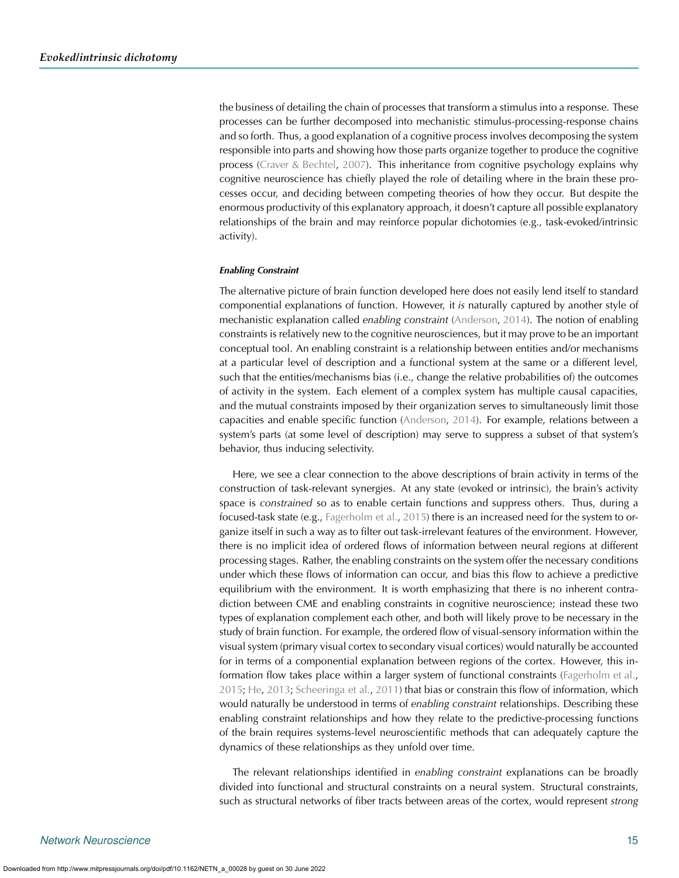the business of detailing the chain of processes that transform a stimulus into a response. These processes can be further decomposed into mechanistic stimulus-processing-response chains and so forth. Thus, a good explanation of a cognitive process involves decomposing the system responsible into parts and showing how those parts organize together to produce the cognitive process [\(Craver & Bechtel](#page-18-40), [2007](#page-18-40)). This inheritance from cognitive psychology explains why cognitive neuroscience has chiefly played the role of detailing where in the brain these processes occur, and deciding between competing theories of how they occur. But despite the enormous productivity of this explanatory approach, it doesn't capture all possible explanatory relationships of the brain and may reinforce popular dichotomies (e.g., task-evoked/intrinsic activity).

#### *Enabling Constraint*

The alternative picture of brain function developed here does not easily lend itself to standard componential explanations of function. However, it *is* naturally captured by another style of mechanistic explanation called *enabling constraint* [\(Anderson,](#page-17-0) [2014](#page-17-0)). The notion of enabling constraints is relatively new to the cognitive neurosciences, but it may prove to be an important conceptual tool. An enabling constraint is a relationship between entities and/or mechanisms at a particular level of description and a functional system at the same or a different level, such that the entities/mechanisms bias (i.e., change the relative probabilities of) the outcomes of activity in the system. Each element of a complex system has multiple causal capacities, and the mutual constraints imposed by their organization serves to simultaneously limit those capacities and enable specific function [\(Anderson,](#page-17-0) [2014](#page-17-0)). For example, relations between a system's parts (at some level of description) may serve to suppress a subset of that system's behavior, thus inducing selectivity.

Here, we see a clear connection to the above descriptions of brain activity in terms of the construction of task-relevant synergies. At any state (evoked or intrinsic), the brain's activity space is *constrained* so as to enable certain functions and suppress others. Thus, during a focused-task state (e.g., [Fagerholm et al.,](#page-18-37) [2015\)](#page-18-37) there is an increased need for the system to organize itself in such a way as to filter out task-irrelevant features of the environment. However, there is no implicit idea of ordered flows of information between neural regions at different processing stages. Rather, the enabling constraints on the system offer the necessary conditions under which these flows of information can occur, and bias this flow to achieve a predictive equilibrium with the environment. It is worth emphasizing that there is no inherent contradiction between CME and enabling constraints in cognitive neuroscience; instead these two types of explanation complement each other, and both will likely prove to be necessary in the study of brain function. For example, the ordered flow of visual-sensory information within the visual system (primary visual cortex to secondary visual cortices) would naturally be accounted for in terms of a componential explanation between regions of the cortex. However, this information flow takes place within a larger system of functional constraints [\(Fagerholm et al.](#page-18-37), [2015;](#page-18-37) [He,](#page-19-20) [2013;](#page-19-20) [Scheeringa et al.](#page-20-26), [2011](#page-20-26)) that bias or constrain this flow of information, which would naturally be understood in terms of *enabling constraint* relationships. Describing these enabling constraint relationships and how they relate to the predictive-processing functions of the brain requires systems-level neuroscientific methods that can adequately capture the dynamics of these relationships as they unfold over time.

The relevant relationships identified in *enabling constraint* explanations can be broadly divided into functional and structural constraints on a neural system. Structural constraints, such as structural networks of fiber tracts between areas of the cortex, would represent *strong*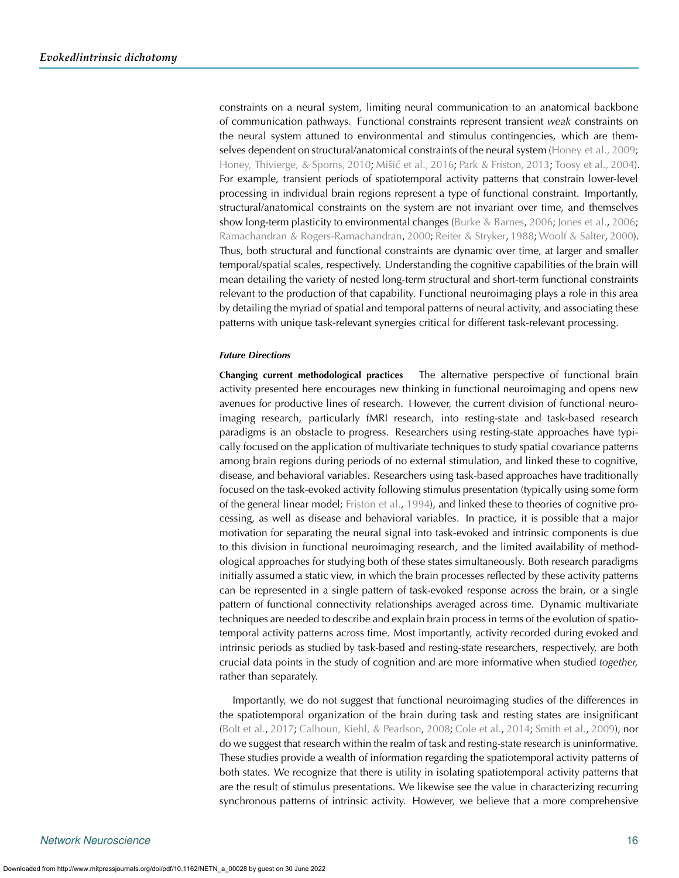constraints on a neural system, limiting neural communication to an anatomical backbone of communication pathways. Functional constraints represent transient *weak* constraints on the neural system attuned to environmental and stimulus contingencies, which are them-selves dependent on structural/anatomical constraints of the neural system [\(Honey et al.,](#page-19-35) [2009](#page-19-36); [Honey, Thivierge, & Sporns,](#page-19-37) [2010;](#page-19-38) Mišić et al., [2016](#page-20-44); [Park & Friston,](#page-20-45) [2013;](#page-20-46) [Toosy et al.,](#page-20-47) [2004](#page-20-48)). For example, transient periods of spatiotemporal activity patterns that constrain lower-level processing in individual brain regions represent a type of functional constraint. Importantly, structural/anatomical constraints on the system are not invariant over time, and themselves show long-term plasticity to environmental changes [\(Burke & Barnes,](#page-18-43) [2006;](#page-18-43) [Jones et al.](#page-19-39), [2006](#page-19-39); [Ramachandran & Rogers-Ramachandran,](#page-20-49) [2000](#page-20-49); [Reiter & Stryker](#page-20-50), [1988;](#page-20-50) [Woolf & Salter,](#page-21-7) [2000](#page-21-7)). Thus, both structural and functional constraints are dynamic over time, at larger and smaller temporal/spatial scales, respectively. Understanding the cognitive capabilities of the brain will mean detailing the variety of nested long-term structural and short-term functional constraints relevant to the production of that capability. Functional neuroimaging plays a role in this area by detailing the myriad of spatial and temporal patterns of neural activity, and associating these patterns with unique task-relevant synergies critical for different task-relevant processing.

## *Future Directions*

**Changing current methodological practices** The alternative perspective of functional brain activity presented here encourages new thinking in functional neuroimaging and opens new avenues for productive lines of research. However, the current division of functional neuroimaging research, particularly fMRI research, into resting-state and task-based research paradigms is an obstacle to progress. Researchers using resting-state approaches have typically focused on the application of multivariate techniques to study spatial covariance patterns among brain regions during periods of no external stimulation, and linked these to cognitive, disease, and behavioral variables. Researchers using task-based approaches have traditionally focused on the task-evoked activity following stimulus presentation (typically using some form of the general linear model; [Friston et al.,](#page-19-40) [1994\)](#page-19-40), and linked these to theories of cognitive processing, as well as disease and behavioral variables. In practice, it is possible that a major motivation for separating the neural signal into task-evoked and intrinsic components is due to this division in functional neuroimaging research, and the limited availability of methodological approaches for studying both of these states simultaneously. Both research paradigms initially assumed a static view, in which the brain processes reflected by these activity patterns can be represented in a single pattern of task-evoked response across the brain, or a single pattern of functional connectivity relationships averaged across time. Dynamic multivariate techniques are needed to describe and explain brain process in terms of the evolution of spatiotemporal activity patterns across time. Most importantly, activity recorded during evoked and intrinsic periods as studied by task-based and resting-state researchers, respectively, are both crucial data points in the study of cognition and are more informative when studied *together,* rather than separately.

Importantly, we do not suggest that functional neuroimaging studies of the differences in the spatiotemporal organization of the brain during task and resting states are insignificant [\(Bolt et al.](#page-18-15), [2017](#page-18-15); [Calhoun, Kiehl, & Pearlson](#page-18-44), [2008;](#page-18-44) [Cole et al.](#page-18-16), [2014](#page-18-16); [Smith et al.,](#page-20-9) [2009\)](#page-20-9), nor do we suggest that research within the realm of task and resting-state research is uninformative. These studies provide a wealth of information regarding the spatiotemporal activity patterns of both states. We recognize that there is utility in isolating spatiotemporal activity patterns that are the result of stimulus presentations. We likewise see the value in characterizing recurring synchronous patterns of intrinsic activity. However, we believe that a more comprehensive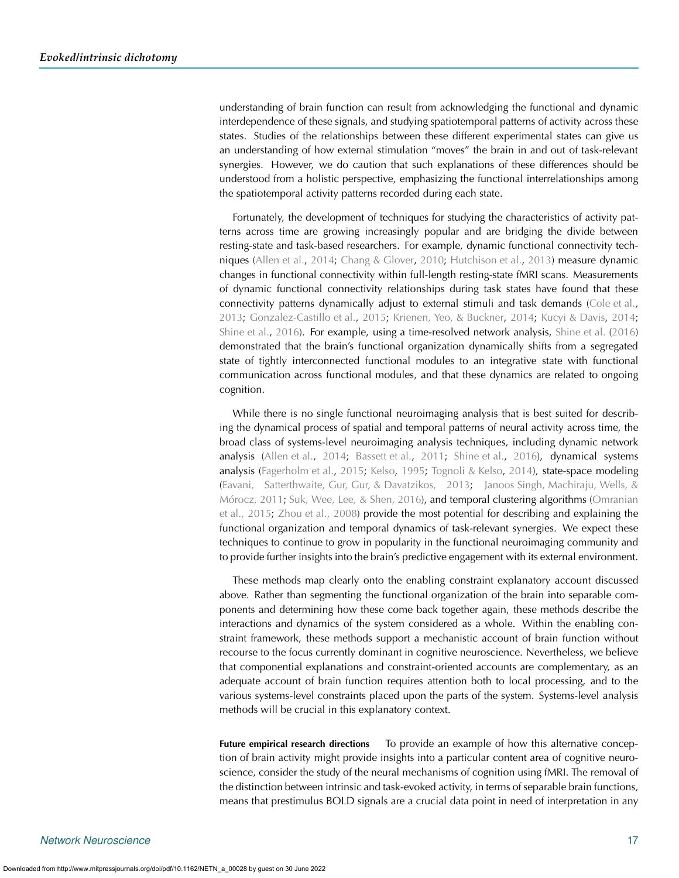understanding of brain function can result from acknowledging the functional and dynamic interdependence of these signals, and studying spatiotemporal patterns of activity across these states. Studies of the relationships between these different experimental states can give us an understanding of how external stimulation "moves" the brain in and out of task-relevant synergies. However, we do caution that such explanations of these differences should be understood from a holistic perspective, emphasizing the functional interrelationships among the spatiotemporal activity patterns recorded during each state.

Fortunately, the development of techniques for studying the characteristics of activity patterns across time are growing increasingly popular and are bridging the divide between resting-state and task-based researchers. For example, dynamic functional connectivity techniques [\(Allen et al.,](#page-17-5) [2014;](#page-17-5) [Chang & Glover](#page-18-45), [2010](#page-18-45); [Hutchison et al.,](#page-19-31) [2013\)](#page-19-31) measure dynamic changes in functional connectivity within full-length resting-state fMRI scans. Measurements of dynamic functional connectivity relationships during task states have found that these connectivity patterns dynamically adjust to external stimuli and task demands [\(Cole et al.](#page-18-46), [2013;](#page-18-46) [Gonzalez-Castillo et al.,](#page-19-41) [2015](#page-19-41); [Krienen, Yeo, & Buckner](#page-19-42), [2014;](#page-19-42) [Kucyi & Davis,](#page-19-43) [2014](#page-19-43); [Shine et al.](#page-20-51), [2016\)](#page-20-51). For example, using a time-resolved network analysis, [Shine et al.](#page-20-51) [\(2016](#page-20-51)) demonstrated that the brain's functional organization dynamically shifts from a segregated state of tightly interconnected functional modules to an integrative state with functional communication across functional modules, and that these dynamics are related to ongoing cognition.

While there is no single functional neuroimaging analysis that is best suited for describing the dynamical process of spatial and temporal patterns of neural activity across time, the broad class of systems-level neuroimaging analysis techniques, including dynamic network analysis [\(Allen et al.,](#page-17-5) [2014](#page-17-5); [Bassett et al.](#page-17-6), [2011](#page-17-6); [Shine et al.,](#page-20-51) [2016\)](#page-20-51), dynamical systems analysis [\(Fagerholm et al.](#page-18-37), [2015](#page-18-37); [Kelso](#page-19-29), [1995](#page-19-29); [Tognoli & Kelso](#page-20-39), [2014](#page-20-39)), state-space modeling [\(Eavani, Satterthwaite, Gur, Gur, & Davatzikos,](#page-18-47) [2013](#page-18-48); [Janoos Singh, Machiraju, Wells, &](#page-19-44) [Mórocz,](#page-19-44) [2011;](#page-19-45) [Suk, Wee, Lee, & Shen,](#page-20-52) [2016\)](#page-20-53), and temporal clustering algorithms [\(Omranian](#page-20-54) [et al.,](#page-20-54) [2015;](#page-20-34) [Zhou et al.,](#page-21-8) [2008](#page-21-4)) provide the most potential for describing and explaining the functional organization and temporal dynamics of task-relevant synergies. We expect these techniques to continue to grow in popularity in the functional neuroimaging community and to provide further insights into the brain's predictive engagement with its external environment.

These methods map clearly onto the enabling constraint explanatory account discussed above. Rather than segmenting the functional organization of the brain into separable components and determining how these come back together again, these methods describe the interactions and dynamics of the system considered as a whole. Within the enabling constraint framework, these methods support a mechanistic account of brain function without recourse to the focus currently dominant in cognitive neuroscience. Nevertheless, we believe that componential explanations and constraint-oriented accounts are complementary, as an adequate account of brain function requires attention both to local processing, and to the various systems-level constraints placed upon the parts of the system. Systems-level analysis methods will be crucial in this explanatory context.

**Future empirical research directions** To provide an example of how this alternative conception of brain activity might provide insights into a particular content area of cognitive neuroscience, consider the study of the neural mechanisms of cognition using fMRI. The removal of the distinction between intrinsic and task-evoked activity, in terms of separable brain functions, means that prestimulus BOLD signals are a crucial data point in need of interpretation in any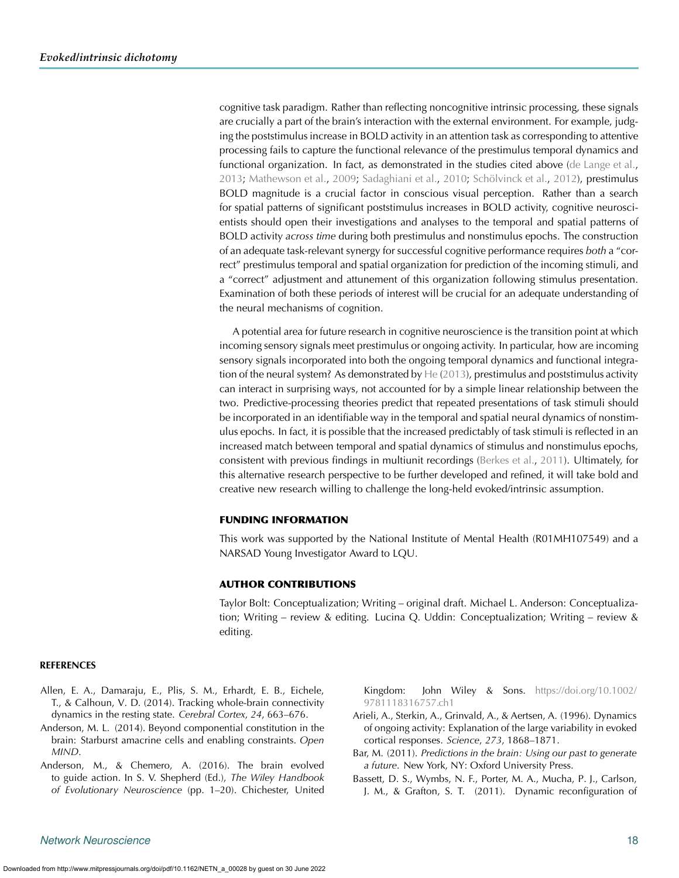cognitive task paradigm. Rather than reflecting noncognitive intrinsic processing, these signals are crucially a part of the brain's interaction with the external environment. For example, judging the poststimulus increase in BOLD activity in an attention task as corresponding to attentive processing fails to capture the functional relevance of the prestimulus temporal dynamics and functional organization. In fact, as demonstrated in the studies cited above [\(de Lange et al.](#page-18-25), [2013;](#page-18-25) [Mathewson et al.](#page-20-18), [2009](#page-20-18); [Sadaghiani et al.](#page-20-24), [2010](#page-20-24); [Schölvinck et al.,](#page-20-13) [2012\)](#page-20-13), prestimulus BOLD magnitude is a crucial factor in conscious visual perception. Rather than a search for spatial patterns of significant poststimulus increases in BOLD activity, cognitive neuroscientists should open their investigations and analyses to the temporal and spatial patterns of BOLD activity *across time* during both prestimulus and nonstimulus epochs. The construction of an adequate task-relevant synergy for successful cognitive performance requires *both* a "correct" prestimulus temporal and spatial organization for prediction of the incoming stimuli, and a "correct" adjustment and attunement of this organization following stimulus presentation. Examination of both these periods of interest will be crucial for an adequate understanding of the neural mechanisms of cognition.

A potential area for future research in cognitive neuroscience is the transition point at which incoming sensory signals meet prestimulus or ongoing activity. In particular, how are incoming sensory signals incorporated into both the ongoing temporal dynamics and functional integration of the neural system? As demonstrated by  $He(2013)$  $He(2013)$ , prestimulus and poststimulus activity can interact in surprising ways, not accounted for by a simple linear relationship between the two. Predictive-processing theories predict that repeated presentations of task stimuli should be incorporated in an identifiable way in the temporal and spatial neural dynamics of nonstimulus epochs. In fact, it is possible that the increased predictably of task stimuli is reflected in an increased match between temporal and spatial dynamics of stimulus and nonstimulus epochs, consistent with previous findings in multiunit recordings [\(Berkes et al.](#page-18-12), [2011\)](#page-18-12). Ultimately, for this alternative research perspective to be further developed and refined, it will take bold and creative new research willing to challenge the long-held evoked/intrinsic assumption.

### FUNDING INFORMATION

This work was supported by the National Institute of Mental Health (R01MH107549) and a NARSAD Young Investigator Award to LQU.

# AUTHOR CONTRIBUTIONS

Taylor Bolt: Conceptualization; Writing – original draft. Michael L. Anderson: Conceptualization; Writing – review & editing. Lucina Q. Uddin: Conceptualization; Writing – review & editing.

#### **REFERENCES**

- <span id="page-17-5"></span>Allen, E. A., Damaraju, E., Plis, S. M., Erhardt, E. B., Eichele, T., & Calhoun, V. D. (2014). Tracking whole-brain connectivity dynamics in the resting state. *Cerebral Cortex*, *24*, 663–676.
- <span id="page-17-0"></span>Anderson, M. L. (2014). Beyond componential constitution in the brain: Starburst amacrine cells and enabling constraints. *Open MIND*.
- Anderson, M., & Chemero, A. (2016). The brain evolved to guide action. In S. V. Shepherd (Ed.), *The Wiley Handbook of Evolutionary Neuroscience* (pp. 1–20). Chichester, United

<span id="page-17-1"></span>Kingdom: John Wiley & Sons. [https://doi.org/10.1002/](https://dx.doi.org/10.1002/9781118316757.ch1) [9781118316757.ch1](https://dx.doi.org/10.1002/9781118316757.ch1)

- <span id="page-17-2"></span>Arieli, A., Sterkin, A., Grinvald, A., & Aertsen, A. (1996). Dynamics of ongoing activity: Explanation of the large variability in evoked cortical responses. *Science*, *273*, 1868–1871.
- <span id="page-17-4"></span><span id="page-17-3"></span>Bar, M. (2011). *Predictions in the brain: Using our past to generate a future*. New York, NY: Oxford University Press.
- <span id="page-17-6"></span>Bassett, D. S., Wymbs, N. F., Porter, M. A., Mucha, P. J., Carlson, J. M., & Grafton, S. T. (2011). Dynamic reconfiguration of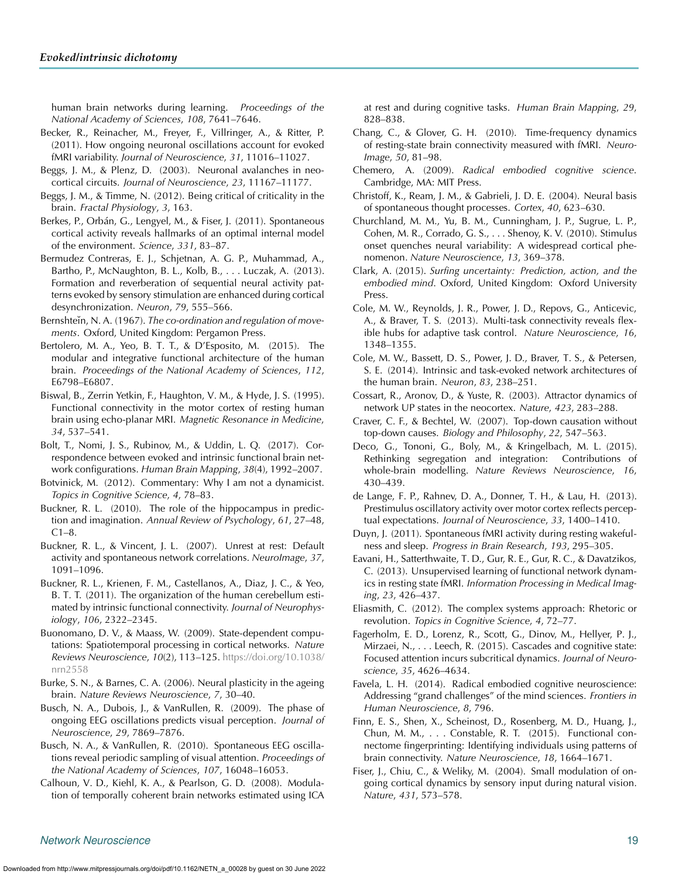human brain networks during learning. *Proceedings of the National Academy of Sciences*, *108*, 7641–7646.

- <span id="page-18-9"></span>Becker, R., Reinacher, M., Freyer, F., Villringer, A., & Ritter, P. (2011). How ongoing neuronal oscillations account for evoked fMRI variability. *Journal of Neuroscience*, *31*, 11016–11027.
- <span id="page-18-35"></span>Beggs, J. M., & Plenz, D. (2003). Neuronal avalanches in neocortical circuits. *Journal of Neuroscience*, *23*, 11167–11177.
- <span id="page-18-34"></span>Beggs, J. M., & Timme, N. (2012). Being critical of criticality in the brain. *Fractal Physiology*, *3*, 163.
- <span id="page-18-12"></span>Berkes, P., Orbán, G., Lengyel, M., & Fiser, J. (2011). Spontaneous cortical activity reveals hallmarks of an optimal internal model of the environment. *Science*, *331*, 83–87.
- <span id="page-18-23"></span>Bermudez Contreras, E. J., Schjetnan, A. G. P., Muhammad, A., Bartho, P., McNaughton, B. L., Kolb, B., . . . Luczak, A. (2013). Formation and reverberation of sequential neural activity patterns evoked by sensory stimulation are enhanced during cortical desynchronization. *Neuron*, *79*, 555–566.
- <span id="page-18-29"></span>Bernshteĭn, N. A. (1967). *The co-ordination and regulation of movements*. Oxford, United Kingdom: Pergamon Press.
- <span id="page-18-14"></span>Bertolero, M. A., Yeo, B. T. T., & D'Esposito, M. (2015). The modular and integrative functional architecture of the human brain. *Proceedings of the National Academy of Sciences*, *112*, E6798–E6807.
- <span id="page-18-3"></span>Biswal, B., Zerrin Yetkin, F., Haughton, V. M., & Hyde, J. S. (1995). Functional connectivity in the motor cortex of resting human brain using echo-planar MRI. *Magnetic Resonance in Medicine*, *34*, 537–541.
- <span id="page-18-15"></span>Bolt, T., Nomi, J. S., Rubinov, M., & Uddin, L. Q. (2017). Correspondence between evoked and intrinsic functional brain network configurations. *Human Brain Mapping*, *38*(4), 1992–2007.
- <span id="page-18-41"></span>Botvinick, M. (2012). Commentary: Why I am not a dynamicist. *Topics in Cognitive Science*, *4*, 78–83.
- <span id="page-18-20"></span>Buckner, R. L. (2010). The role of the hippocampus in prediction and imagination. *Annual Review of Psychology*, *61*, 27–48,  $C1-8.$
- <span id="page-18-7"></span>Buckner, R. L., & Vincent, J. L. (2007). Unrest at rest: Default activity and spontaneous network correlations. *NeuroImage*, *37*, 1091–1096.
- <span id="page-18-5"></span>Buckner, R. L., Krienen, F. M., Castellanos, A., Diaz, J. C., & Yeo, B. T. T. (2011). The organization of the human cerebellum estimated by intrinsic functional connectivity. *Journal of Neurophysiology*, *106*, 2322–2345.
- <span id="page-18-30"></span>Buonomano, D. V., & Maass, W. (2009). State-dependent computations: Spatiotemporal processing in cortical networks. *Nature Reviews Neuroscience*, *10*(2), 113–125. [https://doi.org/10.1038/](https://dx.doi.org/10.1038/nrn2558) [nrn2558](https://dx.doi.org/10.1038/nrn2558)
- <span id="page-18-43"></span>Burke, S. N., & Barnes, C. A. (2006). Neural plasticity in the ageing brain. *Nature Reviews Neuroscience*, *7*, 30–40.
- <span id="page-18-19"></span>Busch, N. A., Dubois, J., & VanRullen, R. (2009). The phase of ongoing EEG oscillations predicts visual perception. *Journal of Neuroscience*, *29*, 7869–7876.
- <span id="page-18-1"></span>Busch, N. A., & VanRullen, R. (2010). Spontaneous EEG oscillations reveal periodic sampling of visual attention. *Proceedings of the National Academy of Sciences*, *107*, 16048–16053.
- <span id="page-18-44"></span>Calhoun, V. D., Kiehl, K. A., & Pearlson, G. D. (2008). Modulation of temporally coherent brain networks estimated using ICA

at rest and during cognitive tasks. *Human Brain Mapping*, *29*, 828–838.

- <span id="page-18-45"></span><span id="page-18-8"></span>Chang, C., & Glover, G. H. (2010). Time-frequency dynamics of resting-state brain connectivity measured with fMRI. *Neuro-Image*, *50*, 81–98.
- <span id="page-18-31"></span>Chemero, A. (2009). *Radical embodied cognitive science*. Cambridge, MA: MIT Press.
- <span id="page-18-10"></span>Christoff, K., Ream, J. M., & Gabrieli, J. D. E. (2004). Neural basis of spontaneous thought processes. *Cortex*, *40*, 623–630.
- <span id="page-18-28"></span><span id="page-18-21"></span>Churchland, M. M., Yu, B. M., Cunningham, J. P., Sugrue, L. P., Cohen, M. R., Corrado, G. S., . . . Shenoy, K. V. (2010). Stimulus onset quenches neural variability: A widespread cortical phenomenon. *Nature Neuroscience*, *13*, 369–378.
- <span id="page-18-32"></span><span id="page-18-22"></span>Clark, A. (2015). *Surfing uncertainty: Prediction, action, and the embodied mind*. Oxford, United Kingdom: Oxford University Press.
- <span id="page-18-46"></span>Cole, M. W., Reynolds, J. R., Power, J. D., Repovs, G., Anticevic, A., & Braver, T. S. (2013). Multi-task connectivity reveals flexible hubs for adaptive task control. *Nature Neuroscience*, *16*, 1348–1355.
- <span id="page-18-16"></span>Cole, M. W., Bassett, D. S., Power, J. D., Braver, T. S., & Petersen, S. E. (2014). Intrinsic and task-evoked network architectures of the human brain. *Neuron*, *83*, 238–251.
- <span id="page-18-39"></span><span id="page-18-13"></span><span id="page-18-2"></span>Cossart, R., Aronov, D., & Yuste, R. (2003). Attractor dynamics of network UP states in the neocortex. *Nature*, *423*, 283–288.
- <span id="page-18-40"></span>Craver, C. F., & Bechtel, W. (2007). Top-down causation without top-down causes. *Biology and Philosophy*, *22*, 547–563.
- <span id="page-18-38"></span>Deco, G., Tononi, G., Boly, M., & Kringelbach, M. L. (2015). Rethinking segregation and integration: Contributions of whole-brain modelling. *Nature Reviews Neuroscience*, *16*, 430–439.
- <span id="page-18-25"></span><span id="page-18-24"></span>de Lange, F. P., Rahnev, D. A., Donner, T. H., & Lau, H. (2013). Prestimulus oscillatory activity over motor cortex reflects perceptual expectations. *Journal of Neuroscience*, *33*, 1400–1410.
- <span id="page-18-11"></span>Duyn, J. (2011). Spontaneous fMRI activity during resting wakefulness and sleep. *Progress in Brain Research*, *193*, 295–305.
- <span id="page-18-48"></span><span id="page-18-47"></span><span id="page-18-4"></span>Eavani, H., Satterthwaite, T. D., Gur, R. E., Gur, R. C., & Davatzikos, C. (2013). Unsupervised learning of functional network dynamics in resting state fMRI. *Information Processing in Medical Imaging*, *23*, 426–437.
- <span id="page-18-42"></span>Eliasmith, C. (2012). The complex systems approach: Rhetoric or revolution. *Topics in Cognitive Science*, *4*, 72–77.
- <span id="page-18-37"></span><span id="page-18-36"></span>Fagerholm, E. D., Lorenz, R., Scott, G., Dinov, M., Hellyer, P. J., Mirzaei, N., . . . Leech, R. (2015). Cascades and cognitive state: Focused attention incurs subcritical dynamics. *Journal of Neuroscience*, *35*, 4626–4634.
- <span id="page-18-33"></span>Favela, L. H. (2014). Radical embodied cognitive neuroscience: Addressing "grand challenges" of the mind sciences. *Frontiers in Human Neuroscience*, *8*, 796.
- <span id="page-18-18"></span><span id="page-18-17"></span><span id="page-18-0"></span>Finn, E. S., Shen, X., Scheinost, D., Rosenberg, M. D., Huang, J., Chun, M. M., . . . Constable, R. T. (2015). Functional connectome fingerprinting: Identifying individuals using patterns of brain connectivity. *Nature Neuroscience*, *18*, 1664–1671.
- <span id="page-18-27"></span><span id="page-18-26"></span><span id="page-18-6"></span>Fiser, J., Chiu, C., & Weliky, M. (2004). Small modulation of ongoing cortical dynamics by sensory input during natural vision. *Nature*, *431*, 573–578.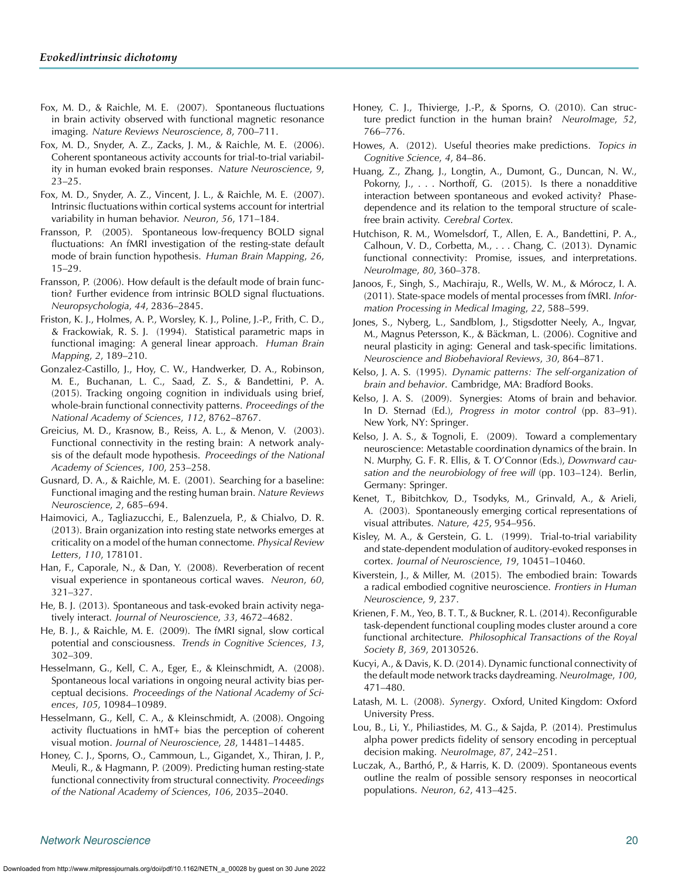- <span id="page-19-2"></span>Fox, M. D., & Raichle, M. E. (2007). Spontaneous fluctuations in brain activity observed with functional magnetic resonance imaging. *Nature Reviews Neuroscience*, *8*, 700–711.
- <span id="page-19-4"></span>Fox, M. D., Snyder, A. Z., Zacks, J. M., & Raichle, M. E. (2006). Coherent spontaneous activity accounts for trial-to-trial variability in human evoked brain responses. *Nature Neuroscience*, *9*, 23–25.
- <span id="page-19-9"></span>Fox, M. D., Snyder, A. Z., Vincent, J. L., & Raichle, M. E. (2007). Intrinsic fluctuations within cortical systems account for intertrial variability in human behavior. *Neuron*, *56*, 171–184.
- <span id="page-19-6"></span>Fransson, P. (2005). Spontaneous low-frequency BOLD signal fluctuations: An fMRI investigation of the resting-state default mode of brain function hypothesis. *Human Brain Mapping*, *26*, 15–29.
- <span id="page-19-10"></span>Fransson, P. (2006). How default is the default mode of brain function? Further evidence from intrinsic BOLD signal fluctuations. *Neuropsychologia*, *44*, 2836–2845.
- <span id="page-19-40"></span>Friston, K. J., Holmes, A. P., Worsley, K. J., Poline, J.-P., Frith, C. D., & Frackowiak, R. S. J. (1994). Statistical parametric maps in functional imaging: A general linear approach. *Human Brain Mapping*, *2*, 189–210.
- <span id="page-19-41"></span>Gonzalez-Castillo, J., Hoy, C. W., Handwerker, D. A., Robinson, M. E., Buchanan, L. C., Saad, Z. S., & Bandettini, P. A. (2015). Tracking ongoing cognition in individuals using brief, whole-brain functional connectivity patterns. *Proceedings of the National Academy of Sciences*, *112*, 8762–8767.
- <span id="page-19-7"></span>Greicius, M. D., Krasnow, B., Reiss, A. L., & Menon, V. (2003). Functional connectivity in the resting brain: A network analysis of the default mode hypothesis. *Proceedings of the National Academy of Sciences*, *100*, 253–258.
- <span id="page-19-8"></span>Gusnard, D. A., & Raichle, M. E. (2001). Searching for a baseline: Functional imaging and the resting human brain. *Nature Reviews Neuroscience*, *2*, 685–694.
- <span id="page-19-28"></span>Haimovici, A., Tagliazucchi, E., Balenzuela, P., & Chialvo, D. R. (2013). Brain organization into resting state networks emerges at criticality on a model of the human connectome. *Physical Review Letters*, *110*, 178101.
- <span id="page-19-11"></span>Han, F., Caporale, N., & Dan, Y. (2008). Reverberation of recent visual experience in spontaneous cortical waves. *Neuron*, *60*, 321–327.
- <span id="page-19-20"></span>He, B. J. (2013). Spontaneous and task-evoked brain activity negatively interact. *Journal of Neuroscience*, *33*, 4672–4682.
- <span id="page-19-33"></span>He, B. J., & Raichle, M. E. (2009). The fMRI signal, slow cortical potential and consciousness. *Trends in Cognitive Sciences*, *13*, 302–309.
- <span id="page-19-13"></span>Hesselmann, G., Kell, C. A., Eger, E., & Kleinschmidt, A. (2008). Spontaneous local variations in ongoing neural activity bias perceptual decisions. *Proceedings of the National Academy of Sciences*, *105*, 10984–10989.
- <span id="page-19-15"></span>Hesselmann, G., Kell, C. A., & Kleinschmidt, A. (2008). Ongoing activity fluctuations in hMT+ bias the perception of coherent visual motion. *Journal of Neuroscience*, *28*, 14481–14485.
- <span id="page-19-36"></span>Honey, C. J., Sporns, O., Cammoun, L., Gigandet, X., Thiran, J. P., Meuli, R., & Hagmann, P. (2009). Predicting human resting-state functional connectivity from structural connectivity. *Proceedings of the National Academy of Sciences*, *106*, 2035–2040.
- <span id="page-19-38"></span>Honey, C. J., Thivierge, J.-P., & Sporns, O. (2010). Can structure predict function in the human brain? *NeuroImage*, *52*, 766–776.
- <span id="page-19-34"></span><span id="page-19-3"></span>Howes, A. (2012). Useful theories make predictions. *Topics in Cognitive Science*, *4*, 84–86.
- <span id="page-19-21"></span>Huang, Z., Zhang, J., Longtin, A., Dumont, G., Duncan, N. W., Pokorny, J., . . . Northoff, G. (2015). Is there a nonadditive interaction between spontaneous and evoked activity? Phasedependence and its relation to the temporal structure of scalefree brain activity. *Cerebral Cortex*.
- <span id="page-19-31"></span><span id="page-19-5"></span>Hutchison, R. M., Womelsdorf, T., Allen, E. A., Bandettini, P. A., Calhoun, V. D., Corbetta, M., . . . Chang, C. (2013). Dynamic functional connectivity: Promise, issues, and interpretations. *NeuroImage*, *80*, 360–378.
- <span id="page-19-45"></span><span id="page-19-44"></span>Janoos, F., Singh, S., Machiraju, R., Wells, W. M., & Mórocz, I. A. (2011). State-space models of mental processes from fMRI. *Information Processing in Medical Imaging*, *22*, 588–599.
- <span id="page-19-39"></span>Jones, S., Nyberg, L., Sandblom, J., Stigsdotter Neely, A., Ingvar, M., Magnus Petersson, K., & Bäckman, L. (2006). Cognitive and neural plasticity in aging: General and task-specific limitations. *Neuroscience and Biobehavioral Reviews*, *30*, 864–871.
- <span id="page-19-29"></span>Kelso, J. A. S. (1995). *Dynamic patterns: The self-organization of brain and behavior*. Cambridge, MA: Bradford Books.
- <span id="page-19-25"></span>Kelso, J. A. S. (2009). Synergies: Atoms of brain and behavior. In D. Sternad (Ed.), *Progress in motor control* (pp. 83–91). New York, NY: Springer.
- <span id="page-19-30"></span>Kelso, J. A. S., & Tognoli, E. (2009). Toward a complementary neuroscience: Metastable coordination dynamics of the brain. In N. Murphy, G. F. R. Ellis, & T. O'Connor (Eds.), *Downward causation and the neurobiology of free will* (pp. 103–124). Berlin, Germany: Springer.
- <span id="page-19-27"></span><span id="page-19-1"></span><span id="page-19-0"></span>Kenet, T., Bibitchkov, D., Tsodyks, M., Grinvald, A., & Arieli, A. (2003). Spontaneously emerging cortical representations of visual attributes. *Nature*, *425*, 954–956.
- <span id="page-19-23"></span><span id="page-19-22"></span>Kisley, M. A., & Gerstein, G. L. (1999). Trial-to-trial variability and state-dependent modulation of auditory-evoked responses in cortex. *Journal of Neuroscience*, *19*, 10451–10460.
- <span id="page-19-26"></span>Kiverstein, J., & Miller, M. (2015). The embodied brain: Towards a radical embodied cognitive neuroscience. *Frontiers in Human Neuroscience*, *9*, 237.
- <span id="page-19-42"></span>Krienen, F. M., Yeo, B. T. T., & Buckner, R. L. (2014). Reconfigurable task-dependent functional coupling modes cluster around a core functional architecture. *Philosophical Transactions of the Royal Society B*, *369*, 20130526.
- <span id="page-19-43"></span><span id="page-19-12"></span>Kucyi, A., & Davis, K. D. (2014). Dynamic functional connectivity of the default mode network tracks daydreaming. *NeuroImage*, *100*, 471–480.
- <span id="page-19-24"></span>Latash, M. L. (2008). *Synergy*. Oxford, United Kingdom: Oxford University Press.
- <span id="page-19-17"></span><span id="page-19-16"></span><span id="page-19-14"></span>Lou, B., Li, Y., Philiastides, M. G., & Sajda, P. (2014). Prestimulus alpha power predicts fidelity of sensory encoding in perceptual decision making. *NeuroImage*, *87*, 242–251.
- <span id="page-19-37"></span><span id="page-19-35"></span><span id="page-19-32"></span><span id="page-19-19"></span><span id="page-19-18"></span>Luczak, A., Barthó, P., & Harris, K. D. (2009). Spontaneous events outline the realm of possible sensory responses in neocortical populations. *Neuron*, *62*, 413–425.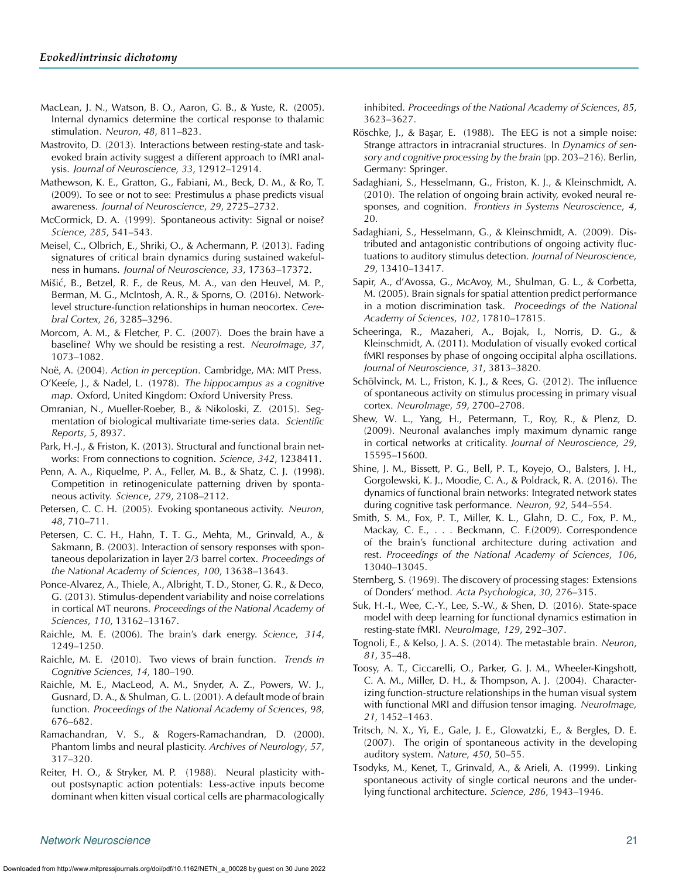- <span id="page-20-15"></span>MacLean, J. N., Watson, B. O., Aaron, G. B., & Yuste, R. (2005). Internal dynamics determine the cortical response to thalamic stimulation. *Neuron*, *48*, 811–823.
- <span id="page-20-33"></span>Mastrovito, D. (2013). Interactions between resting-state and taskevoked brain activity suggest a different approach to fMRI analysis. *Journal of Neuroscience*, *33*, 12912–12914.
- <span id="page-20-18"></span>Mathewson, K. E., Gratton, G., Fabiani, M., Beck, D. M., & Ro, T. (2009). To see or not to see: Prestimulus *α* phase predicts visual awareness. *Journal of Neuroscience*, *29*, 2725–2732.
- <span id="page-20-1"></span>McCormick, D. A. (1999). Spontaneous activity: Signal or noise? *Science*, *285*, 541–543.
- <span id="page-20-38"></span>Meisel, C., Olbrich, E., Shriki, O., & Achermann, P. (2013). Fading signatures of critical brain dynamics during sustained wakefulness in humans. *Journal of Neuroscience*, *33*, 17363–17372.
- <span id="page-20-44"></span>Mišic, B., Betzel, R. F., de Reus, M. A., van den Heuvel, M. P., ´ Berman, M. G., McIntosh, A. R., & Sporns, O. (2016). Networklevel structure-function relationships in human neocortex. *Cerebral Cortex*, *26*, 3285–3296.
- <span id="page-20-11"></span>Morcom, A. M., & Fletcher, P. C. (2007). Does the brain have a baseline? Why we should be resisting a rest. *NeuroImage*, *37*, 1073–1082.

<span id="page-20-35"></span>Noë, A. (2004). *Action in perception*. Cambridge, MA: MIT Press.

- <span id="page-20-32"></span>O'Keefe, J., & Nadel, L. (1978). *The hippocampus as a cognitive map*. Oxford, United Kingdom: Oxford University Press.
- <span id="page-20-34"></span>Omranian, N., Mueller-Roeber, B., & Nikoloski, Z. (2015). Segmentation of biological multivariate time-series data. *Scientific Reports*, *5*, 8937.
- <span id="page-20-46"></span>Park, H.-J., & Friston, K. (2013). Structural and functional brain networks: From connections to cognition. *Science*, *342*, 1238411.
- <span id="page-20-3"></span>Penn, A. A., Riquelme, P. A., Feller, M. B., & Shatz, C. J. (1998). Competition in retinogeniculate patterning driven by spontaneous activity. *Science*, *279*, 2108–2112.
- <span id="page-20-40"></span>Petersen, C. C. H. (2005). Evoking spontaneous activity. *Neuron*, *48*, 710–711.
- <span id="page-20-28"></span>Petersen, C. C. H., Hahn, T. T. G., Mehta, M., Grinvald, A., & Sakmann, B. (2003). Interaction of sensory responses with spontaneous depolarization in layer 2/3 barrel cortex. *Proceedings of the National Academy of Sciences*, *100*, 13638–13643.
- <span id="page-20-30"></span>Ponce-Alvarez, A., Thiele, A., Albright, T. D., Stoner, G. R., & Deco, G. (2013). Stimulus-dependent variability and noise correlations in cortical MT neurons. *Proceedings of the National Academy of Sciences*, *110*, 13162–13167.
- <span id="page-20-41"></span>Raichle, M. E. (2006). The brain's dark energy. *Science*, *314*, 1249–1250.
- <span id="page-20-14"></span>Raichle, M. E. (2010). Two views of brain function. *Trends in Cognitive Sciences*, *14*, 180–190.
- <span id="page-20-10"></span>Raichle, M. E., MacLeod, A. M., Snyder, A. Z., Powers, W. J., Gusnard, D. A., & Shulman, G. L. (2001). A default mode of brain function. *Proceedings of the National Academy of Sciences*, *98*, 676–682.
- <span id="page-20-49"></span>Ramachandran, V. S., & Rogers-Ramachandran, D. (2000). Phantom limbs and neural plasticity. *Archives of Neurology*, *57*, 317–320.
- <span id="page-20-50"></span>Reiter, H. O., & Stryker, M. P. (1988). Neural plasticity without postsynaptic action potentials: Less-active inputs become dominant when kitten visual cortical cells are pharmacologically

<span id="page-20-4"></span>inhibited. *Proceedings of the National Academy of Sciences*, *85*, 3623–3627.

- <span id="page-20-5"></span>Röschke, J., & Başar, E. (1988). The EEG is not a simple noise: Strange attractors in intracranial structures. In *Dynamics of sensory and cognitive processing by the brain* (pp. 203–216). Berlin, Germany: Springer.
- <span id="page-20-24"></span><span id="page-20-17"></span>Sadaghiani, S., Hesselmann, G., Friston, K. J., & Kleinschmidt, A. (2010). The relation of ongoing brain activity, evoked neural responses, and cognition. *Frontiers in Systems Neuroscience*, *4*, 20.
- <span id="page-20-37"></span><span id="page-20-20"></span><span id="page-20-19"></span><span id="page-20-0"></span>Sadaghiani, S., Hesselmann, G., & Kleinschmidt, A. (2009). Distributed and antagonistic contributions of ongoing activity fluctuations to auditory stimulus detection. *Journal of Neuroscience*, *29*, 13410–13417.
- <span id="page-20-43"></span><span id="page-20-22"></span><span id="page-20-21"></span>Sapir, A., d'Avossa, G., McAvoy, M., Shulman, G. L., & Corbetta, M. (2005). Brain signals for spatial attention predict performance in a motion discrimination task. *Proceedings of the National Academy of Sciences*, *102*, 17810–17815.
- <span id="page-20-26"></span><span id="page-20-25"></span>Scheeringa, R., Mazaheri, A., Bojak, I., Norris, D. G., & Kleinschmidt, A. (2011). Modulation of visually evoked cortical fMRI responses by phase of ongoing occipital alpha oscillations. *Journal of Neuroscience*, *31*, 3813–3820.
- <span id="page-20-31"></span><span id="page-20-13"></span><span id="page-20-12"></span>Schölvinck, M. L., Friston, K. J., & Rees, G. (2012). The influence of spontaneous activity on stimulus processing in primary visual cortex. *NeuroImage*, *59*, 2700–2708.
- <span id="page-20-54"></span><span id="page-20-36"></span>Shew, W. L., Yang, H., Petermann, T., Roy, R., & Plenz, D. (2009). Neuronal avalanches imply maximum dynamic range in cortical networks at criticality. *Journal of Neuroscience*, *29*, 15595–15600.
- <span id="page-20-51"></span><span id="page-20-45"></span><span id="page-20-2"></span>Shine, J. M., Bissett, P. G., Bell, P. T., Koyejo, O., Balsters, J. H., Gorgolewski, K. J., Moodie, C. A., & Poldrack, R. A. (2016). The dynamics of functional brain networks: Integrated network states during cognitive task performance. *Neuron*, *92*, 544–554.
- <span id="page-20-27"></span><span id="page-20-9"></span><span id="page-20-8"></span>Smith, S. M., Fox, P. T., Miller, K. L., Glahn, D. C., Fox, P. M., Mackay, C. E., . . . Beckmann, C. F.(2009). Correspondence of the brain's functional architecture during activation and rest. *Proceedings of the National Academy of Sciences*, *106*, 13040–13045.
- <span id="page-20-42"></span><span id="page-20-29"></span>Sternberg, S. (1969). The discovery of processing stages: Extensions of Donders' method. *Acta Psychologica*, *30*, 276–315.
- <span id="page-20-53"></span><span id="page-20-52"></span>Suk, H.-I., Wee, C.-Y., Lee, S.-W., & Shen, D. (2016). State-space model with deep learning for functional dynamics estimation in resting-state fMRI. *NeuroImage*, *129*, 292–307.
- <span id="page-20-39"></span>Tognoli, E., & Kelso, J. A. S. (2014). The metastable brain. *Neuron*, *81*, 35–48.
- <span id="page-20-48"></span><span id="page-20-47"></span>Toosy, A. T., Ciccarelli, O., Parker, G. J. M., Wheeler-Kingshott, C. A. M., Miller, D. H., & Thompson, A. J. (2004). Characterizing function-structure relationships in the human visual system with functional MRI and diffusion tensor imaging. *NeuroImage*, *21*, 1452–1463.
- <span id="page-20-7"></span><span id="page-20-6"></span>Tritsch, N. X., Yi, E., Gale, J. E., Glowatzki, E., & Bergles, D. E. (2007). The origin of spontaneous activity in the developing auditory system. *Nature*, *450*, 50–55.
- <span id="page-20-23"></span><span id="page-20-16"></span>Tsodyks, M., Kenet, T., Grinvald, A., & Arieli, A. (1999). Linking spontaneous activity of single cortical neurons and the underlying functional architecture. *Science*, *286*, 1943–1946.